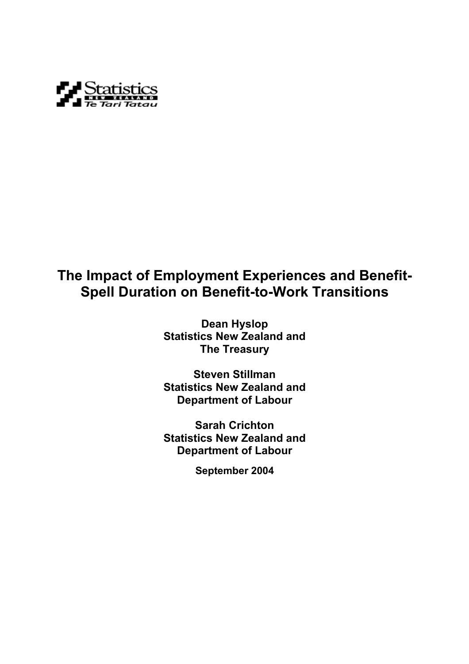

# **The Impact of Employment Experiences and Benefit-Spell Duration on Benefit-to-Work Transitions**

**Dean Hyslop Statistics New Zealand and The Treasury** 

**Steven Stillman Statistics New Zealand and Department of Labour** 

**Sarah Crichton Statistics New Zealand and Department of Labour** 

**September 2004**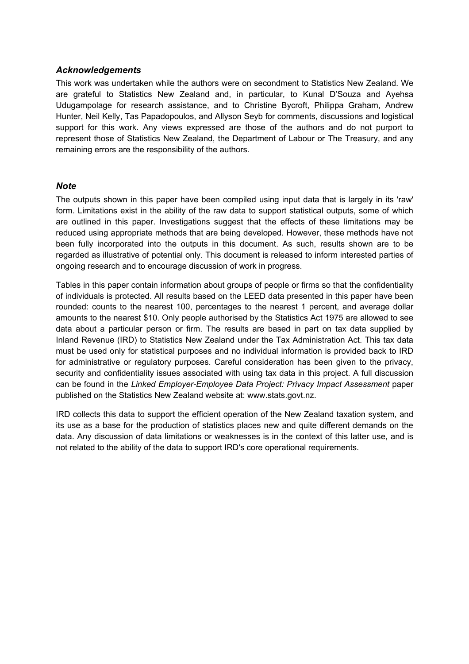### *Acknowledgements*

This work was undertaken while the authors were on secondment to Statistics New Zealand. We are grateful to Statistics New Zealand and, in particular, to Kunal D'Souza and Ayehsa Udugampolage for research assistance, and to Christine Bycroft, Philippa Graham, Andrew Hunter, Neil Kelly, Tas Papadopoulos, and Allyson Seyb for comments, discussions and logistical support for this work. Any views expressed are those of the authors and do not purport to represent those of Statistics New Zealand, the Department of Labour or The Treasury, and any remaining errors are the responsibility of the authors.

## *Note*

The outputs shown in this paper have been compiled using input data that is largely in its 'raw' form. Limitations exist in the ability of the raw data to support statistical outputs, some of which are outlined in this paper. Investigations suggest that the effects of these limitations may be reduced using appropriate methods that are being developed. However, these methods have not been fully incorporated into the outputs in this document. As such, results shown are to be regarded as illustrative of potential only. This document is released to inform interested parties of ongoing research and to encourage discussion of work in progress.

Tables in this paper contain information about groups of people or firms so that the confidentiality of individuals is protected. All results based on the LEED data presented in this paper have been rounded: counts to the nearest 100, percentages to the nearest 1 percent, and average dollar amounts to the nearest \$10. Only people authorised by the Statistics Act 1975 are allowed to see data about a particular person or firm. The results are based in part on tax data supplied by Inland Revenue (IRD) to Statistics New Zealand under the Tax Administration Act. This tax data must be used only for statistical purposes and no individual information is provided back to IRD for administrative or regulatory purposes. Careful consideration has been given to the privacy, security and confidentiality issues associated with using tax data in this project. A full discussion can be found in the *Linked Employer-Employee Data Project: Privacy Impact Assessment* paper published on the Statistics New Zealand website at: www.stats.govt.nz.

IRD collects this data to support the efficient operation of the New Zealand taxation system, and its use as a base for the production of statistics places new and quite different demands on the data. Any discussion of data limitations or weaknesses is in the context of this latter use, and is not related to the ability of the data to support IRD's core operational requirements.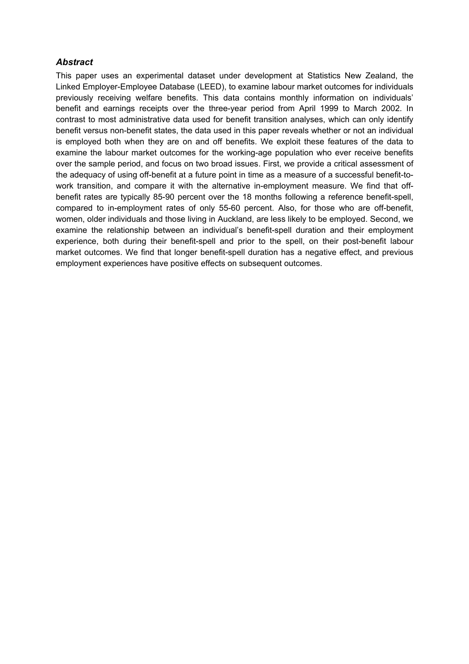### *Abstract*

This paper uses an experimental dataset under development at Statistics New Zealand, the Linked Employer-Employee Database (LEED), to examine labour market outcomes for individuals previously receiving welfare benefits. This data contains monthly information on individuals' benefit and earnings receipts over the three-year period from April 1999 to March 2002. In contrast to most administrative data used for benefit transition analyses, which can only identify benefit versus non-benefit states, the data used in this paper reveals whether or not an individual is employed both when they are on and off benefits. We exploit these features of the data to examine the labour market outcomes for the working-age population who ever receive benefits over the sample period, and focus on two broad issues. First, we provide a critical assessment of the adequacy of using off-benefit at a future point in time as a measure of a successful benefit-towork transition, and compare it with the alternative in-employment measure. We find that offbenefit rates are typically 85-90 percent over the 18 months following a reference benefit-spell, compared to in-employment rates of only 55-60 percent. Also, for those who are off-benefit, women, older individuals and those living in Auckland, are less likely to be employed. Second, we examine the relationship between an individual's benefit-spell duration and their employment experience, both during their benefit-spell and prior to the spell, on their post-benefit labour market outcomes. We find that longer benefit-spell duration has a negative effect, and previous employment experiences have positive effects on subsequent outcomes.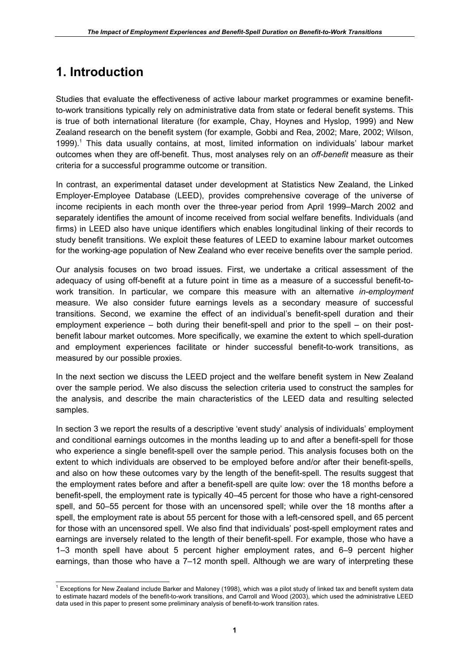# **1. Introduction**

 $\overline{a}$ 

Studies that evaluate the effectiveness of active labour market programmes or examine benefitto-work transitions typically rely on administrative data from state or federal benefit systems. This is true of both international literature (for example, Chay, Hoynes and Hyslop, 1999) and New Zealand research on the benefit system (for example, Gobbi and Rea, 2002; Mare, 2002; Wilson, 1999).<sup>1</sup> This data usually contains, at most, limited information on individuals' labour market outcomes when they are off-benefit. Thus, most analyses rely on an *off-benefit* measure as their criteria for a successful programme outcome or transition.

In contrast, an experimental dataset under development at Statistics New Zealand, the Linked Employer-Employee Database (LEED), provides comprehensive coverage of the universe of income recipients in each month over the three-year period from April 1999–March 2002 and separately identifies the amount of income received from social welfare benefits. Individuals (and firms) in LEED also have unique identifiers which enables longitudinal linking of their records to study benefit transitions. We exploit these features of LEED to examine labour market outcomes for the working-age population of New Zealand who ever receive benefits over the sample period.

Our analysis focuses on two broad issues. First, we undertake a critical assessment of the adequacy of using off-benefit at a future point in time as a measure of a successful benefit-towork transition. In particular, we compare this measure with an alternative *in-employment* measure. We also consider future earnings levels as a secondary measure of successful transitions. Second, we examine the effect of an individual's benefit-spell duration and their employment experience – both during their benefit-spell and prior to the spell – on their postbenefit labour market outcomes. More specifically, we examine the extent to which spell-duration and employment experiences facilitate or hinder successful benefit-to-work transitions, as measured by our possible proxies.

In the next section we discuss the LEED project and the welfare benefit system in New Zealand over the sample period. We also discuss the selection criteria used to construct the samples for the analysis, and describe the main characteristics of the LEED data and resulting selected samples.

In section 3 we report the results of a descriptive 'event study' analysis of individuals' employment and conditional earnings outcomes in the months leading up to and after a benefit-spell for those who experience a single benefit-spell over the sample period. This analysis focuses both on the extent to which individuals are observed to be employed before and/or after their benefit-spells, and also on how these outcomes vary by the length of the benefit-spell. The results suggest that the employment rates before and after a benefit-spell are quite low: over the 18 months before a benefit-spell, the employment rate is typically 40–45 percent for those who have a right-censored spell, and 50–55 percent for those with an uncensored spell; while over the 18 months after a spell, the employment rate is about 55 percent for those with a left-censored spell, and 65 percent for those with an uncensored spell. We also find that individuals' post-spell employment rates and earnings are inversely related to the length of their benefit-spell. For example, those who have a 1–3 month spell have about 5 percent higher employment rates, and 6–9 percent higher earnings, than those who have a 7–12 month spell. Although we are wary of interpreting these

 $1$  Exceptions for New Zealand include Barker and Maloney (1998), which was a pilot study of linked tax and benefit system data to estimate hazard models of the benefit-to-work transitions, and Carroll and Wood (2003), which used the administrative LEED data used in this paper to present some preliminary analysis of benefit-to-work transition rates.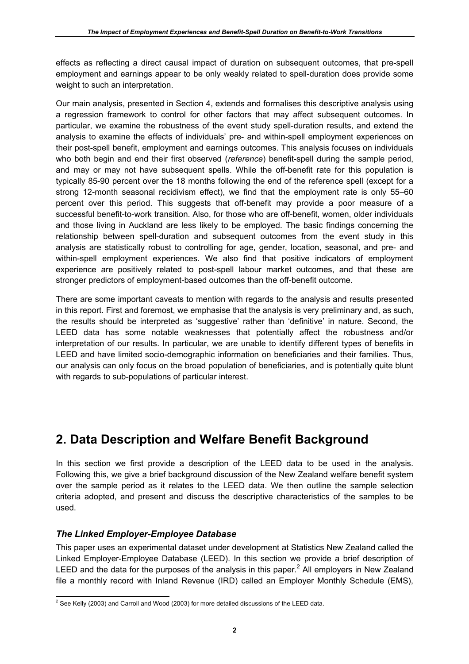effects as reflecting a direct causal impact of duration on subsequent outcomes, that pre-spell employment and earnings appear to be only weakly related to spell-duration does provide some weight to such an interpretation.

Our main analysis, presented in Section 4, extends and formalises this descriptive analysis using a regression framework to control for other factors that may affect subsequent outcomes. In particular, we examine the robustness of the event study spell-duration results, and extend the analysis to examine the effects of individuals' pre- and within-spell employment experiences on their post-spell benefit, employment and earnings outcomes. This analysis focuses on individuals who both begin and end their first observed (*reference*) benefit-spell during the sample period, and may or may not have subsequent spells. While the off-benefit rate for this population is typically 85-90 percent over the 18 months following the end of the reference spell (except for a strong 12-month seasonal recidivism effect), we find that the employment rate is only 55–60 percent over this period. This suggests that off-benefit may provide a poor measure of a successful benefit-to-work transition. Also, for those who are off-benefit, women, older individuals and those living in Auckland are less likely to be employed. The basic findings concerning the relationship between spell-duration and subsequent outcomes from the event study in this analysis are statistically robust to controlling for age, gender, location, seasonal, and pre- and within-spell employment experiences. We also find that positive indicators of employment experience are positively related to post-spell labour market outcomes, and that these are stronger predictors of employment-based outcomes than the off-benefit outcome.

There are some important caveats to mention with regards to the analysis and results presented in this report. First and foremost, we emphasise that the analysis is very preliminary and, as such, the results should be interpreted as 'suggestive' rather than 'definitive' in nature. Second, the LEED data has some notable weaknesses that potentially affect the robustness and/or interpretation of our results. In particular, we are unable to identify different types of benefits in LEED and have limited socio-demographic information on beneficiaries and their families. Thus, our analysis can only focus on the broad population of beneficiaries, and is potentially quite blunt with regards to sub-populations of particular interest.

# **2. Data Description and Welfare Benefit Background**

In this section we first provide a description of the LEED data to be used in the analysis. Following this, we give a brief background discussion of the New Zealand welfare benefit system over the sample period as it relates to the LEED data. We then outline the sample selection criteria adopted, and present and discuss the descriptive characteristics of the samples to be used.

# *The Linked Employer-Employee Database*

This paper uses an experimental dataset under development at Statistics New Zealand called the Linked Employer-Employee Database (LEED). In this section we provide a brief description of LEED and the data for the purposes of the analysis in this paper.<sup>2</sup> All employers in New Zealand file a monthly record with Inland Revenue (IRD) called an Employer Monthly Schedule (EMS),

 2 See Kelly (2003) and Carroll and Wood (2003) for more detailed discussions of the LEED data.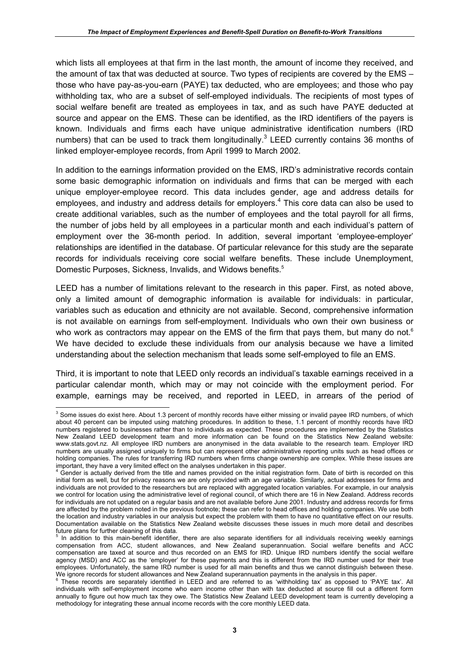which lists all employees at that firm in the last month, the amount of income they received, and the amount of tax that was deducted at source. Two types of recipients are covered by the EMS – those who have pay-as-you-earn (PAYE) tax deducted, who are employees; and those who pay withholding tax, who are a subset of self-employed individuals. The recipients of most types of social welfare benefit are treated as employees in tax, and as such have PAYE deducted at source and appear on the EMS. These can be identified, as the IRD identifiers of the payers is known. Individuals and firms each have unique administrative identification numbers (IRD numbers) that can be used to track them longitudinally.<sup>3</sup> LEED currently contains 36 months of linked employer-employee records, from April 1999 to March 2002.

In addition to the earnings information provided on the EMS, IRD's administrative records contain some basic demographic information on individuals and firms that can be merged with each unique employer-employee record. This data includes gender, age and address details for employees, and industry and address details for employers.<sup>4</sup> This core data can also be used to create additional variables, such as the number of employees and the total payroll for all firms, the number of jobs held by all employees in a particular month and each individual's pattern of employment over the 36-month period. In addition, several important 'employee-employer' relationships are identified in the database. Of particular relevance for this study are the separate records for individuals receiving core social welfare benefits. These include Unemployment, Domestic Purposes, Sickness, Invalids, and Widows benefits.<sup>5</sup>

LEED has a number of limitations relevant to the research in this paper. First, as noted above, only a limited amount of demographic information is available for individuals: in particular, variables such as education and ethnicity are not available. Second, comprehensive information is not available on earnings from self-employment. Individuals who own their own business or who work as contractors may appear on the EMS of the firm that pays them, but many do not. $6$ We have decided to exclude these individuals from our analysis because we have a limited understanding about the selection mechanism that leads some self-employed to file an EMS.

Third, it is important to note that LEED only records an individual's taxable earnings received in a particular calendar month, which may or may not coincide with the employment period. For example, earnings may be received, and reported in LEED, in arrears of the period of

 3 Some issues do exist here. About 1.3 percent of monthly records have either missing or invalid payee IRD numbers, of which about 40 percent can be imputed using matching procedures. In addition to these, 1.1 percent of monthly records have IRD numbers registered to businesses rather than to individuals as expected. These procedures are implemented by the Statistics New Zealand LEED development team and more information can be found on the Statistics New Zealand website: www.stats.govt.nz. All employee IRD numbers are anonymised in the data available to the research team. Employer IRD numbers are usually assigned uniquely to firms but can represent other administrative reporting units such as head offices or holding companies. The rules for transferring IRD numbers when firms change ownership are complex. While these issues are important, they have a very limited effect on the analyses undertaken in this paper.

<sup>&</sup>lt;sup>4</sup> Gender is actually derived from the title and names provided on the initial registration form. Date of birth is recorded on this initial form as well, but for privacy reasons we are only provided with an age variable. Similarly, actual addresses for firms and individuals are not provided to the researchers but are replaced with aggregated location variables. For example, in our analysis we control for location using the administrative level of regional council, of which there are 16 in New Zealand. Address records for individuals are not updated on a regular basis and are not available before June 2001. Industry and address records for firms are affected by the problem noted in the previous footnote; these can refer to head offices and holding companies. We use both the location and industry variables in our analysis but expect the problem with them to have no quantitative effect on our results. Documentation available on the Statistics New Zealand website discusses these issues in much more detail and describes future plans for further cleaning of this data.

<sup>&</sup>lt;sup>5</sup> In addition to this main-benefit identifier, there are also separate identifiers for all individuals receiving weekly earnings compensation from ACC, student allowances, and New Zealand superannuation. Social welfare benefits and ACC compensation are taxed at source and thus recorded on an EMS for IRD. Unique IRD numbers identify the social welfare agency (MSD) and ACC as the 'employer' for these payments and this is different from the IRD number used for their true employees. Unfortunately, the same IRD number is used for all main benefits and thus we cannot distinguish between these. We ignore records for student allowances and New Zealand superannuation payments in the analysis in this paper.<br><sup>6</sup> These records are constraint identified in LEED and are referred to as *inithholding toy*' as appeared to

These records are separately identified in LEED and are referred to as 'withholding tax' as opposed to 'PAYE tax'. All individuals with self-employment income who earn income other than with tax deducted at source fill out a different form annually to figure out how much tax they owe. The Statistics New Zealand LEED development team is currently developing a methodology for integrating these annual income records with the core monthly LEED data.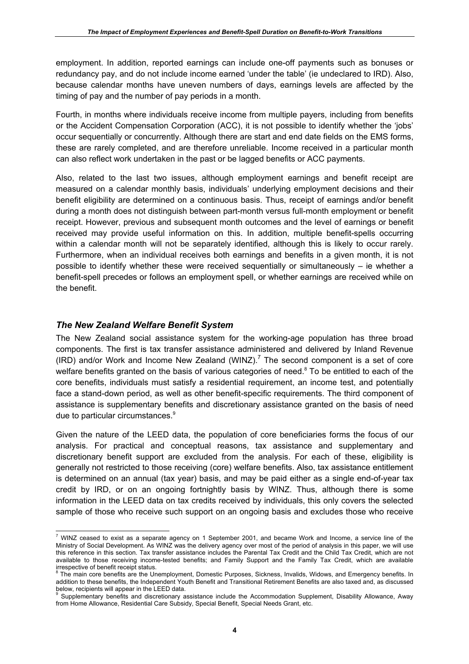employment. In addition, reported earnings can include one-off payments such as bonuses or redundancy pay, and do not include income earned 'under the table' (ie undeclared to IRD). Also, because calendar months have uneven numbers of days, earnings levels are affected by the timing of pay and the number of pay periods in a month.

Fourth, in months where individuals receive income from multiple payers, including from benefits or the Accident Compensation Corporation (ACC), it is not possible to identify whether the 'jobs' occur sequentially or concurrently. Although there are start and end date fields on the EMS forms, these are rarely completed, and are therefore unreliable. Income received in a particular month can also reflect work undertaken in the past or be lagged benefits or ACC payments.

Also, related to the last two issues, although employment earnings and benefit receipt are measured on a calendar monthly basis, individuals' underlying employment decisions and their benefit eligibility are determined on a continuous basis. Thus, receipt of earnings and/or benefit during a month does not distinguish between part-month versus full-month employment or benefit receipt. However, previous and subsequent month outcomes and the level of earnings or benefit received may provide useful information on this. In addition, multiple benefit-spells occurring within a calendar month will not be separately identified, although this is likely to occur rarely. Furthermore, when an individual receives both earnings and benefits in a given month, it is not possible to identify whether these were received sequentially or simultaneously – ie whether a benefit-spell precedes or follows an employment spell, or whether earnings are received while on the benefit.

# *The New Zealand Welfare Benefit System*

The New Zealand social assistance system for the working-age population has three broad components. The first is tax transfer assistance administered and delivered by Inland Revenue (IRD) and/or Work and Income New Zealand (WINZ). $^7$  The second component is a set of core welfare benefits granted on the basis of various categories of need.<sup>8</sup> To be entitled to each of the core benefits, individuals must satisfy a residential requirement, an income test, and potentially face a stand-down period, as well as other benefit-specific requirements. The third component of assistance is supplementary benefits and discretionary assistance granted on the basis of need due to particular circumstances.<sup>9</sup>

Given the nature of the LEED data, the population of core beneficiaries forms the focus of our analysis. For practical and conceptual reasons, tax assistance and supplementary and discretionary benefit support are excluded from the analysis. For each of these, eligibility is generally not restricted to those receiving (core) welfare benefits. Also, tax assistance entitlement is determined on an annual (tax year) basis, and may be paid either as a single end-of-year tax credit by IRD, or on an ongoing fortnightly basis by WINZ. Thus, although there is some information in the LEED data on tax credits received by individuals, this only covers the selected sample of those who receive such support on an ongoing basis and excludes those who receive

 7 WINZ ceased to exist as a separate agency on 1 September 2001, and became Work and Income, a service line of the Ministry of Social Development. As WINZ was the delivery agency over most of the period of analysis in this paper, we will use this reference in this section. Tax transfer assistance includes the Parental Tax Credit and the Child Tax Credit, which are not available to those receiving income-tested benefits; and Family Support and the Family Tax Credit, which are available irrespective of benefit receipt status.

 $8$  The main core benefits are the Unemployment, Domestic Purposes, Sickness, Invalids, Widows, and Emergency benefits. In addition to these benefits, the Independent Youth Benefit and Transitional Retirement Benefits are also taxed and, as discussed below, recipients will appear in the LEED data.<br><sup>9</sup> Supplementary benefits and discretionary assistance include the Accommodation Supplement, Disability Allowance, Away

from Home Allowance, Residential Care Subsidy, Special Benefit, Special Needs Grant, etc.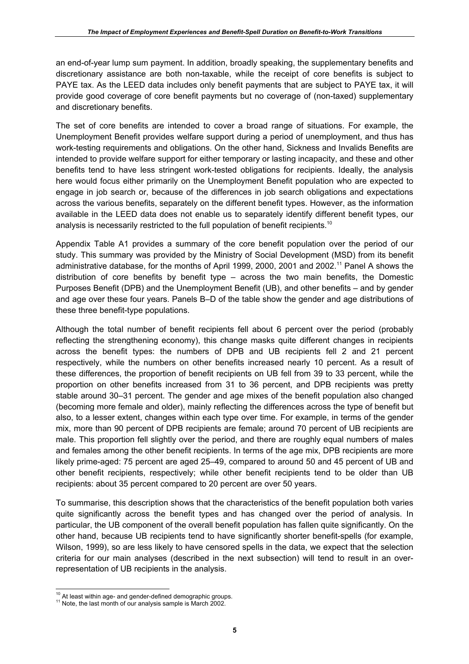an end-of-year lump sum payment. In addition, broadly speaking, the supplementary benefits and discretionary assistance are both non-taxable, while the receipt of core benefits is subject to PAYE tax. As the LEED data includes only benefit payments that are subject to PAYE tax, it will provide good coverage of core benefit payments but no coverage of (non-taxed) supplementary and discretionary benefits.

The set of core benefits are intended to cover a broad range of situations. For example, the Unemployment Benefit provides welfare support during a period of unemployment, and thus has work-testing requirements and obligations. On the other hand, Sickness and Invalids Benefits are intended to provide welfare support for either temporary or lasting incapacity, and these and other benefits tend to have less stringent work-tested obligations for recipients. Ideally, the analysis here would focus either primarily on the Unemployment Benefit population who are expected to engage in job search or, because of the differences in job search obligations and expectations across the various benefits, separately on the different benefit types. However, as the information available in the LEED data does not enable us to separately identify different benefit types, our analysis is necessarily restricted to the full population of benefit recipients.<sup>10</sup>

Appendix Table A1 provides a summary of the core benefit population over the period of our study. This summary was provided by the Ministry of Social Development (MSD) from its benefit administrative database, for the months of April 1999, 2000, 2001 and 2002.11 Panel A shows the distribution of core benefits by benefit type – across the two main benefits, the Domestic Purposes Benefit (DPB) and the Unemployment Benefit (UB), and other benefits – and by gender and age over these four years. Panels B–D of the table show the gender and age distributions of these three benefit-type populations.

Although the total number of benefit recipients fell about 6 percent over the period (probably reflecting the strengthening economy), this change masks quite different changes in recipients across the benefit types: the numbers of DPB and UB recipients fell 2 and 21 percent respectively, while the numbers on other benefits increased nearly 10 percent. As a result of these differences, the proportion of benefit recipients on UB fell from 39 to 33 percent, while the proportion on other benefits increased from 31 to 36 percent, and DPB recipients was pretty stable around 30–31 percent. The gender and age mixes of the benefit population also changed (becoming more female and older), mainly reflecting the differences across the type of benefit but also, to a lesser extent, changes within each type over time. For example, in terms of the gender mix, more than 90 percent of DPB recipients are female; around 70 percent of UB recipients are male. This proportion fell slightly over the period, and there are roughly equal numbers of males and females among the other benefit recipients. In terms of the age mix, DPB recipients are more likely prime-aged: 75 percent are aged 25–49, compared to around 50 and 45 percent of UB and other benefit recipients, respectively; while other benefit recipients tend to be older than UB recipients: about 35 percent compared to 20 percent are over 50 years.

To summarise, this description shows that the characteristics of the benefit population both varies quite significantly across the benefit types and has changed over the period of analysis. In particular, the UB component of the overall benefit population has fallen quite significantly. On the other hand, because UB recipients tend to have significantly shorter benefit-spells (for example, Wilson, 1999), so are less likely to have censored spells in the data, we expect that the selection criteria for our main analyses (described in the next subsection) will tend to result in an overrepresentation of UB recipients in the analysis.

<sup>&</sup>lt;sup>10</sup> At least within age- and gender-defined demographic groups.

<sup>&</sup>lt;sup>11</sup> Note, the last month of our analysis sample is March 2002.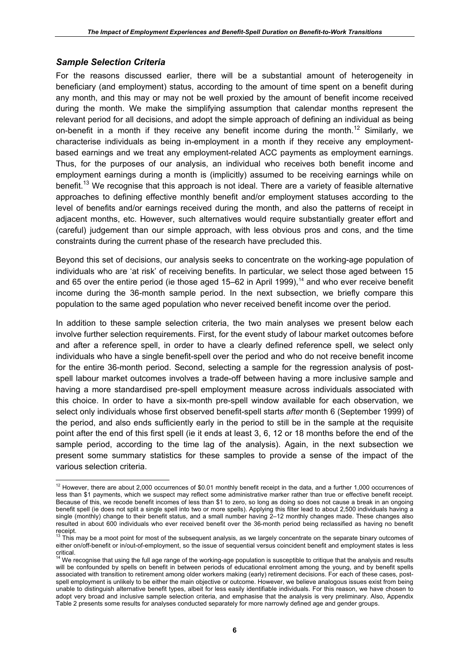### *Sample Selection Criteria*

For the reasons discussed earlier, there will be a substantial amount of heterogeneity in beneficiary (and employment) status, according to the amount of time spent on a benefit during any month, and this may or may not be well proxied by the amount of benefit income received during the month. We make the simplifying assumption that calendar months represent the relevant period for all decisions, and adopt the simple approach of defining an individual as being on-benefit in a month if they receive any benefit income during the month.<sup>12</sup> Similarly, we characterise individuals as being in-employment in a month if they receive any employmentbased earnings and we treat any employment-related ACC payments as employment earnings. Thus, for the purposes of our analysis, an individual who receives both benefit income and employment earnings during a month is (implicitly) assumed to be receiving earnings while on benefit.<sup>13</sup> We recognise that this approach is not ideal. There are a variety of feasible alternative approaches to defining effective monthly benefit and/or employment statuses according to the level of benefits and/or earnings received during the month, and also the patterns of receipt in adjacent months, etc. However, such alternatives would require substantially greater effort and (careful) judgement than our simple approach, with less obvious pros and cons, and the time constraints during the current phase of the research have precluded this.

Beyond this set of decisions, our analysis seeks to concentrate on the working-age population of individuals who are 'at risk' of receiving benefits. In particular, we select those aged between 15 and 65 over the entire period (ie those aged 15–62 in April 1999),<sup>14</sup> and who ever receive benefit income during the 36-month sample period. In the next subsection, we briefly compare this population to the same aged population who never received benefit income over the period.

In addition to these sample selection criteria, the two main analyses we present below each involve further selection requirements. First, for the event study of labour market outcomes before and after a reference spell, in order to have a clearly defined reference spell, we select only individuals who have a single benefit-spell over the period and who do not receive benefit income for the entire 36-month period. Second, selecting a sample for the regression analysis of postspell labour market outcomes involves a trade-off between having a more inclusive sample and having a more standardised pre-spell employment measure across individuals associated with this choice. In order to have a six-month pre-spell window available for each observation, we select only individuals whose first observed benefit-spell starts *after* month 6 (September 1999) of the period, and also ends sufficiently early in the period to still be in the sample at the requisite point after the end of this first spell (ie it ends at least 3, 6, 12 or 18 months before the end of the sample period, according to the time lag of the analysis). Again, in the next subsection we present some summary statistics for these samples to provide a sense of the impact of the various selection criteria.

 $\overline{a}$  $12$  However, there are about 2,000 occurrences of \$0.01 monthly benefit receipt in the data, and a further 1,000 occurrences of less than \$1 payments, which we suspect may reflect some administrative marker rather than true or effective benefit receipt. Because of this, we recode benefit incomes of less than \$1 to zero, so long as doing so does not cause a break in an ongoing benefit spell (ie does not split a single spell into two or more spells). Applying this filter lead to about 2,500 individuals having a single (monthly) change to their benefit status, and a small number having 2–12 monthly changes made. These changes also resulted in about 600 individuals who ever received benefit over the 36-month period being reclassified as having no benefit receipt.

 $13$  This may be a moot point for most of the subsequent analysis, as we largely concentrate on the separate binary outcomes of either on/off-benefit or in/out-of-employment, so the issue of sequential versus coincident benefit and employment states is less

critical.<br><sup>14</sup> We recognise that using the full age range of the working-age population is susceptible to critique that the analysis and results will be confounded by spells on benefit in between periods of educational enrolment among the young, and by benefit spells associated with transition to retirement among older workers making (early) retirement decisions. For each of these cases, postspell employment is unlikely to be either the main objective or outcome. However, we believe analogous issues exist from being unable to distinguish alternative benefit types, albeit for less easily identifiable individuals. For this reason, we have chosen to adopt very broad and inclusive sample selection criteria, and emphasise that the analysis is very preliminary. Also, Appendix Table 2 presents some results for analyses conducted separately for more narrowly defined age and gender groups.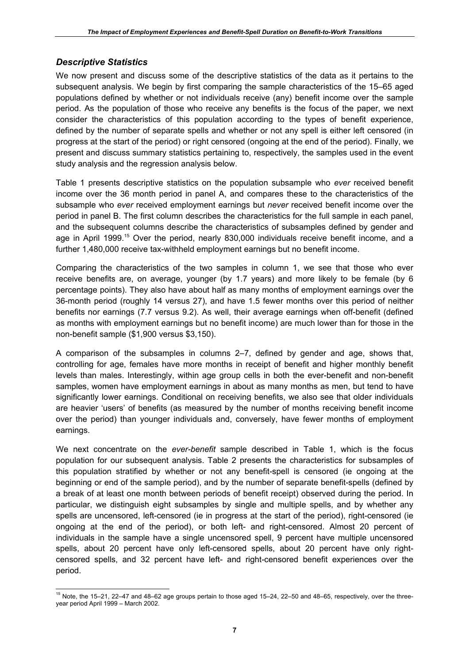# *Descriptive Statistics*

We now present and discuss some of the descriptive statistics of the data as it pertains to the subsequent analysis. We begin by first comparing the sample characteristics of the 15–65 aged populations defined by whether or not individuals receive (any) benefit income over the sample period. As the population of those who receive any benefits is the focus of the paper, we next consider the characteristics of this population according to the types of benefit experience, defined by the number of separate spells and whether or not any spell is either left censored (in progress at the start of the period) or right censored (ongoing at the end of the period). Finally, we present and discuss summary statistics pertaining to, respectively, the samples used in the event study analysis and the regression analysis below.

Table 1 presents descriptive statistics on the population subsample who *ever* received benefit income over the 36 month period in panel A, and compares these to the characteristics of the subsample who *ever* received employment earnings but *never* received benefit income over the period in panel B. The first column describes the characteristics for the full sample in each panel, and the subsequent columns describe the characteristics of subsamples defined by gender and age in April 1999.<sup>15</sup> Over the period, nearly 830,000 individuals receive benefit income, and a further 1,480,000 receive tax-withheld employment earnings but no benefit income.

Comparing the characteristics of the two samples in column 1, we see that those who ever receive benefits are, on average, younger (by 1.7 years) and more likely to be female (by 6 percentage points). They also have about half as many months of employment earnings over the 36-month period (roughly 14 versus 27), and have 1.5 fewer months over this period of neither benefits nor earnings (7.7 versus 9.2). As well, their average earnings when off-benefit (defined as months with employment earnings but no benefit income) are much lower than for those in the non-benefit sample (\$1,900 versus \$3,150).

A comparison of the subsamples in columns 2–7, defined by gender and age, shows that, controlling for age, females have more months in receipt of benefit and higher monthly benefit levels than males. Interestingly, within age group cells in both the ever-benefit and non-benefit samples, women have employment earnings in about as many months as men, but tend to have significantly lower earnings. Conditional on receiving benefits, we also see that older individuals are heavier 'users' of benefits (as measured by the number of months receiving benefit income over the period) than younger individuals and, conversely, have fewer months of employment earnings.

We next concentrate on the *ever-benefit* sample described in Table 1, which is the focus population for our subsequent analysis. Table 2 presents the characteristics for subsamples of this population stratified by whether or not any benefit-spell is censored (ie ongoing at the beginning or end of the sample period), and by the number of separate benefit-spells (defined by a break of at least one month between periods of benefit receipt) observed during the period. In particular, we distinguish eight subsamples by single and multiple spells, and by whether any spells are uncensored, left-censored (ie in progress at the start of the period), right-censored (ie ongoing at the end of the period), or both left- and right-censored. Almost 20 percent of individuals in the sample have a single uncensored spell, 9 percent have multiple uncensored spells, about 20 percent have only left-censored spells, about 20 percent have only rightcensored spells, and 32 percent have left- and right-censored benefit experiences over the period.

 $\overline{a}$ <sup>15</sup> Note, the 15–21, 22–47 and 48–62 age groups pertain to those aged 15–24, 22–50 and 48–65, respectively, over the threeyear period April 1999 – March 2002.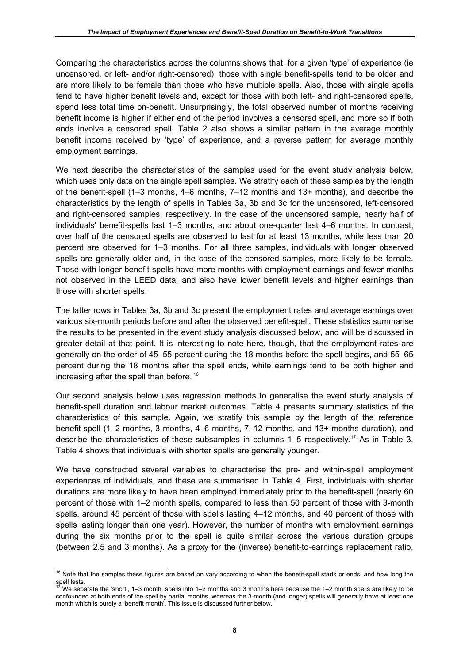Comparing the characteristics across the columns shows that, for a given 'type' of experience (ie uncensored, or left- and/or right-censored), those with single benefit-spells tend to be older and are more likely to be female than those who have multiple spells. Also, those with single spells tend to have higher benefit levels and, except for those with both left- and right-censored spells, spend less total time on-benefit. Unsurprisingly, the total observed number of months receiving benefit income is higher if either end of the period involves a censored spell, and more so if both ends involve a censored spell. Table 2 also shows a similar pattern in the average monthly benefit income received by 'type' of experience, and a reverse pattern for average monthly employment earnings.

We next describe the characteristics of the samples used for the event study analysis below. which uses only data on the single spell samples. We stratify each of these samples by the length of the benefit-spell (1–3 months, 4–6 months, 7–12 months and 13+ months), and describe the characteristics by the length of spells in Tables 3a, 3b and 3c for the uncensored, left-censored and right-censored samples, respectively. In the case of the uncensored sample, nearly half of individuals' benefit-spells last 1–3 months, and about one-quarter last 4–6 months. In contrast, over half of the censored spells are observed to last for at least 13 months, while less than 20 percent are observed for 1–3 months. For all three samples, individuals with longer observed spells are generally older and, in the case of the censored samples, more likely to be female. Those with longer benefit-spells have more months with employment earnings and fewer months not observed in the LEED data, and also have lower benefit levels and higher earnings than those with shorter spells.

The latter rows in Tables 3a, 3b and 3c present the employment rates and average earnings over various six-month periods before and after the observed benefit-spell. These statistics summarise the results to be presented in the event study analysis discussed below, and will be discussed in greater detail at that point. It is interesting to note here, though, that the employment rates are generally on the order of 45–55 percent during the 18 months before the spell begins, and 55–65 percent during the 18 months after the spell ends, while earnings tend to be both higher and increasing after the spell than before.<sup>16</sup>

Our second analysis below uses regression methods to generalise the event study analysis of benefit-spell duration and labour market outcomes. Table 4 presents summary statistics of the characteristics of this sample. Again, we stratify this sample by the length of the reference benefit-spell (1–2 months, 3 months, 4–6 months, 7–12 months, and 13+ months duration), and describe the characteristics of these subsamples in columns 1–5 respectively.17 As in Table 3, Table 4 shows that individuals with shorter spells are generally younger.

We have constructed several variables to characterise the pre- and within-spell employment experiences of individuals, and these are summarised in Table 4. First, individuals with shorter durations are more likely to have been employed immediately prior to the benefit-spell (nearly 60 percent of those with 1–2 month spells, compared to less than 50 percent of those with 3-month spells, around 45 percent of those with spells lasting 4–12 months, and 40 percent of those with spells lasting longer than one year). However, the number of months with employment earnings during the six months prior to the spell is quite similar across the various duration groups (between 2.5 and 3 months). As a proxy for the (inverse) benefit-to-earnings replacement ratio,

 $\overline{a}$  $16$  Note that the samples these figures are based on vary according to when the benefit-spell starts or ends, and how long the spell lasts.

<sup>17</sup> We separate the 'short', 1–3 month, spells into 1–2 months and 3 months here because the 1–2 month spells are likely to be confounded at both ends of the spell by partial months, whereas the 3-month (and longer) spells will generally have at least one month which is purely a 'benefit month'. This issue is discussed further below.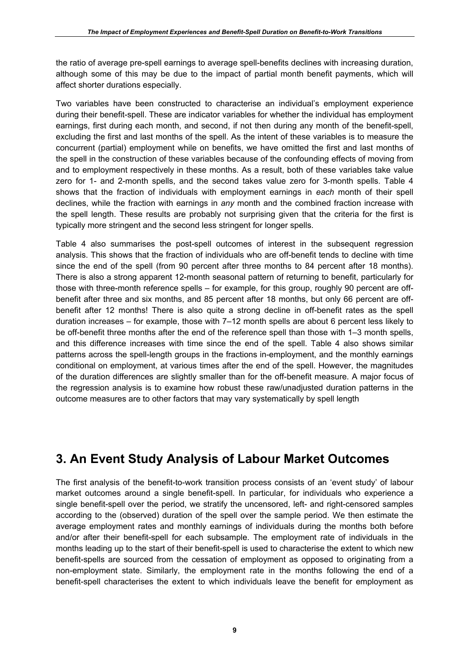the ratio of average pre-spell earnings to average spell-benefits declines with increasing duration, although some of this may be due to the impact of partial month benefit payments, which will affect shorter durations especially.

Two variables have been constructed to characterise an individual's employment experience during their benefit-spell. These are indicator variables for whether the individual has employment earnings, first during each month, and second, if not then during any month of the benefit-spell, excluding the first and last months of the spell. As the intent of these variables is to measure the concurrent (partial) employment while on benefits, we have omitted the first and last months of the spell in the construction of these variables because of the confounding effects of moving from and to employment respectively in these months. As a result, both of these variables take value zero for 1- and 2-month spells, and the second takes value zero for 3-month spells. Table 4 shows that the fraction of individuals with employment earnings in *each* month of their spell declines, while the fraction with earnings in *any* month and the combined fraction increase with the spell length. These results are probably not surprising given that the criteria for the first is typically more stringent and the second less stringent for longer spells.

Table 4 also summarises the post-spell outcomes of interest in the subsequent regression analysis. This shows that the fraction of individuals who are off-benefit tends to decline with time since the end of the spell (from 90 percent after three months to 84 percent after 18 months). There is also a strong apparent 12-month seasonal pattern of returning to benefit, particularly for those with three-month reference spells – for example, for this group, roughly 90 percent are offbenefit after three and six months, and 85 percent after 18 months, but only 66 percent are offbenefit after 12 months! There is also quite a strong decline in off-benefit rates as the spell duration increases – for example, those with 7–12 month spells are about 6 percent less likely to be off-benefit three months after the end of the reference spell than those with 1–3 month spells, and this difference increases with time since the end of the spell. Table 4 also shows similar patterns across the spell-length groups in the fractions in-employment, and the monthly earnings conditional on employment, at various times after the end of the spell. However, the magnitudes of the duration differences are slightly smaller than for the off-benefit measure. A major focus of the regression analysis is to examine how robust these raw/unadjusted duration patterns in the outcome measures are to other factors that may vary systematically by spell length

# **3. An Event Study Analysis of Labour Market Outcomes**

The first analysis of the benefit-to-work transition process consists of an 'event study' of labour market outcomes around a single benefit-spell. In particular, for individuals who experience a single benefit-spell over the period, we stratify the uncensored, left- and right-censored samples according to the (observed) duration of the spell over the sample period. We then estimate the average employment rates and monthly earnings of individuals during the months both before and/or after their benefit-spell for each subsample. The employment rate of individuals in the months leading up to the start of their benefit-spell is used to characterise the extent to which new benefit-spells are sourced from the cessation of employment as opposed to originating from a non-employment state. Similarly, the employment rate in the months following the end of a benefit-spell characterises the extent to which individuals leave the benefit for employment as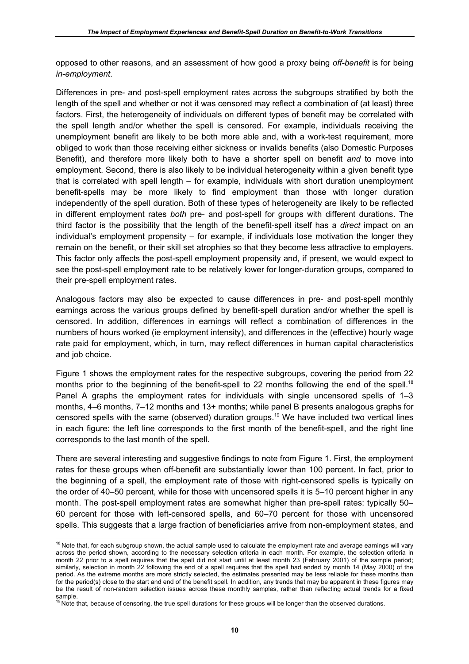opposed to other reasons, and an assessment of how good a proxy being *off-benefit* is for being *in-employment*.

Differences in pre- and post-spell employment rates across the subgroups stratified by both the length of the spell and whether or not it was censored may reflect a combination of (at least) three factors. First, the heterogeneity of individuals on different types of benefit may be correlated with the spell length and/or whether the spell is censored. For example, individuals receiving the unemployment benefit are likely to be both more able and, with a work-test requirement, more obliged to work than those receiving either sickness or invalids benefits (also Domestic Purposes Benefit), and therefore more likely both to have a shorter spell on benefit *and* to move into employment. Second, there is also likely to be individual heterogeneity within a given benefit type that is correlated with spell length – for example, individuals with short duration unemployment benefit-spells may be more likely to find employment than those with longer duration independently of the spell duration. Both of these types of heterogeneity are likely to be reflected in different employment rates *both* pre- and post-spell for groups with different durations. The third factor is the possibility that the length of the benefit-spell itself has a *direct* impact on an individual's employment propensity – for example, if individuals lose motivation the longer they remain on the benefit, or their skill set atrophies so that they become less attractive to employers. This factor only affects the post-spell employment propensity and, if present, we would expect to see the post-spell employment rate to be relatively lower for longer-duration groups, compared to their pre-spell employment rates.

Analogous factors may also be expected to cause differences in pre- and post-spell monthly earnings across the various groups defined by benefit-spell duration and/or whether the spell is censored. In addition, differences in earnings will reflect a combination of differences in the numbers of hours worked (ie employment intensity), and differences in the (effective) hourly wage rate paid for employment, which, in turn, may reflect differences in human capital characteristics and job choice.

Figure 1 shows the employment rates for the respective subgroups, covering the period from 22 months prior to the beginning of the benefit-spell to 22 months following the end of the spell.<sup>18</sup> Panel A graphs the employment rates for individuals with single uncensored spells of 1–3 months, 4–6 months, 7–12 months and 13+ months; while panel B presents analogous graphs for censored spells with the same (observed) duration groups.<sup>19</sup> We have included two vertical lines in each figure: the left line corresponds to the first month of the benefit-spell, and the right line corresponds to the last month of the spell.

There are several interesting and suggestive findings to note from Figure 1. First, the employment rates for these groups when off-benefit are substantially lower than 100 percent. In fact, prior to the beginning of a spell, the employment rate of those with right-censored spells is typically on the order of 40–50 percent, while for those with uncensored spells it is 5–10 percent higher in any month. The post-spell employment rates are somewhat higher than pre-spell rates: typically 50– 60 percent for those with left-censored spells, and 60–70 percent for those with uncensored spells. This suggests that a large fraction of beneficiaries arrive from non-employment states, and

 $\overline{a}$  $18$  Note that, for each subgroup shown, the actual sample used to calculate the employment rate and average earnings will vary across the period shown, according to the necessary selection criteria in each month. For example, the selection criteria in month 22 prior to a spell requires that the spell did not start until at least month 23 (February 2001) of the sample period; similarly, selection in month 22 following the end of a spell requires that the spell had ended by month 14 (May 2000) of the period. As the extreme months are more strictly selected, the estimates presented may be less reliable for these months than for the period(s) close to the start and end of the benefit spell. In addition, any trends that may be apparent in these figures may be the result of non-random selection issues across these monthly samples, rather than reflecting actual trends for a fixed

sample.<br><sup>19</sup> Note that, because of censoring, the true spell durations for these groups will be longer than the observed durations.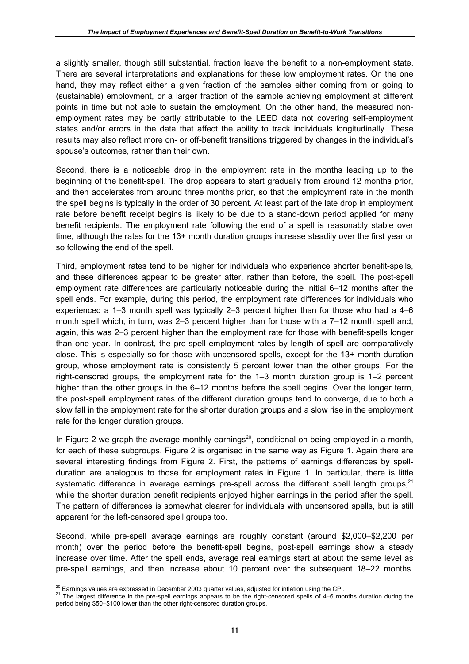a slightly smaller, though still substantial, fraction leave the benefit to a non-employment state. There are several interpretations and explanations for these low employment rates. On the one hand, they may reflect either a given fraction of the samples either coming from or going to (sustainable) employment, or a larger fraction of the sample achieving employment at different points in time but not able to sustain the employment. On the other hand, the measured nonemployment rates may be partly attributable to the LEED data not covering self-employment states and/or errors in the data that affect the ability to track individuals longitudinally. These results may also reflect more on- or off-benefit transitions triggered by changes in the individual's spouse's outcomes, rather than their own.

Second, there is a noticeable drop in the employment rate in the months leading up to the beginning of the benefit-spell. The drop appears to start gradually from around 12 months prior, and then accelerates from around three months prior, so that the employment rate in the month the spell begins is typically in the order of 30 percent. At least part of the late drop in employment rate before benefit receipt begins is likely to be due to a stand-down period applied for many benefit recipients. The employment rate following the end of a spell is reasonably stable over time, although the rates for the 13+ month duration groups increase steadily over the first year or so following the end of the spell.

Third, employment rates tend to be higher for individuals who experience shorter benefit-spells, and these differences appear to be greater after, rather than before, the spell. The post-spell employment rate differences are particularly noticeable during the initial 6–12 months after the spell ends. For example, during this period, the employment rate differences for individuals who experienced a 1–3 month spell was typically 2–3 percent higher than for those who had a 4–6 month spell which, in turn, was 2–3 percent higher than for those with a 7–12 month spell and, again, this was 2–3 percent higher than the employment rate for those with benefit-spells longer than one year. In contrast, the pre-spell employment rates by length of spell are comparatively close. This is especially so for those with uncensored spells, except for the 13+ month duration group, whose employment rate is consistently 5 percent lower than the other groups. For the right-censored groups, the employment rate for the 1–3 month duration group is 1–2 percent higher than the other groups in the 6–12 months before the spell begins. Over the longer term, the post-spell employment rates of the different duration groups tend to converge, due to both a slow fall in the employment rate for the shorter duration groups and a slow rise in the employment rate for the longer duration groups.

In Figure 2 we graph the average monthly earnings<sup>20</sup>, conditional on being employed in a month, for each of these subgroups. Figure 2 is organised in the same way as Figure 1. Again there are several interesting findings from Figure 2. First, the patterns of earnings differences by spellduration are analogous to those for employment rates in Figure 1. In particular, there is little systematic difference in average earnings pre-spell across the different spell length groups, $21$ while the shorter duration benefit recipients enjoyed higher earnings in the period after the spell. The pattern of differences is somewhat clearer for individuals with uncensored spells, but is still apparent for the left-censored spell groups too.

Second, while pre-spell average earnings are roughly constant (around \$2,000–\$2,200 per month) over the period before the benefit-spell begins, post-spell earnings show a steady increase over time. After the spell ends, average real earnings start at about the same level as pre-spell earnings, and then increase about 10 percent over the subsequent 18–22 months.

<sup>&</sup>lt;sup>20</sup> Earnings values are expressed in December 2003 quarter values, adjusted for inflation using the CPI.

<sup>&</sup>lt;sup>21</sup> The largest difference in the pre-spell earnings appears to be the right-censored spells of 4–6 months duration during the period being \$50–\$100 lower than the other right-censored duration groups.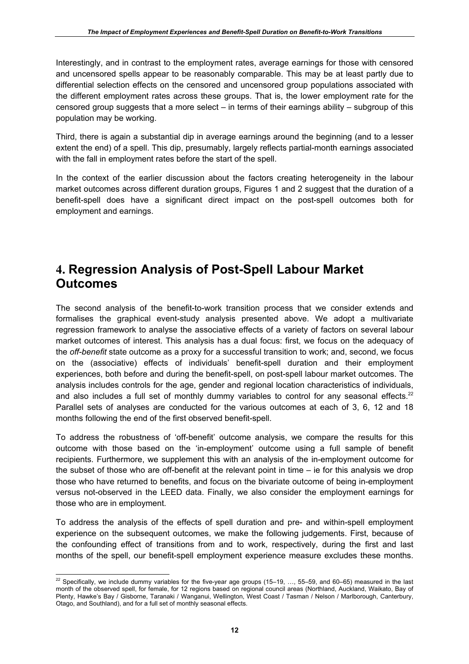Interestingly, and in contrast to the employment rates, average earnings for those with censored and uncensored spells appear to be reasonably comparable. This may be at least partly due to differential selection effects on the censored and uncensored group populations associated with the different employment rates across these groups. That is, the lower employment rate for the censored group suggests that a more select – in terms of their earnings ability – subgroup of this population may be working.

Third, there is again a substantial dip in average earnings around the beginning (and to a lesser extent the end) of a spell. This dip, presumably, largely reflects partial-month earnings associated with the fall in employment rates before the start of the spell.

In the context of the earlier discussion about the factors creating heterogeneity in the labour market outcomes across different duration groups, Figures 1 and 2 suggest that the duration of a benefit-spell does have a significant direct impact on the post-spell outcomes both for employment and earnings.

# **4. Regression Analysis of Post-Spell Labour Market Outcomes**

The second analysis of the benefit-to-work transition process that we consider extends and formalises the graphical event-study analysis presented above. We adopt a multivariate regression framework to analyse the associative effects of a variety of factors on several labour market outcomes of interest. This analysis has a dual focus: first, we focus on the adequacy of the *off-benefit* state outcome as a proxy for a successful transition to work; and, second, we focus on the (associative) effects of individuals' benefit-spell duration and their employment experiences, both before and during the benefit-spell, on post-spell labour market outcomes. The analysis includes controls for the age, gender and regional location characteristics of individuals, and also includes a full set of monthly dummy variables to control for any seasonal effects. $22$ Parallel sets of analyses are conducted for the various outcomes at each of 3, 6, 12 and 18 months following the end of the first observed benefit-spell.

To address the robustness of 'off-benefit' outcome analysis, we compare the results for this outcome with those based on the 'in-employment' outcome using a full sample of benefit recipients. Furthermore, we supplement this with an analysis of the in-employment outcome for the subset of those who are off-benefit at the relevant point in time – ie for this analysis we drop those who have returned to benefits, and focus on the bivariate outcome of being in-employment versus not-observed in the LEED data. Finally, we also consider the employment earnings for those who are in employment.

To address the analysis of the effects of spell duration and pre- and within-spell employment experience on the subsequent outcomes, we make the following judgements. First, because of the confounding effect of transitions from and to work, respectively, during the first and last months of the spell, our benefit-spell employment experience measure excludes these months.

 $\overline{a}$ <sup>22</sup> Specifically, we include dummy variables for the five-year age groups (15–19, ..., 55–59, and 60–65) measured in the last month of the observed spell, for female, for 12 regions based on regional council areas (Northland, Auckland, Waikato, Bay of Plenty, Hawke's Bay / Gisborne, Taranaki / Wanganui, Wellington, West Coast / Tasman / Nelson / Marlborough, Canterbury, Otago, and Southland), and for a full set of monthly seasonal effects.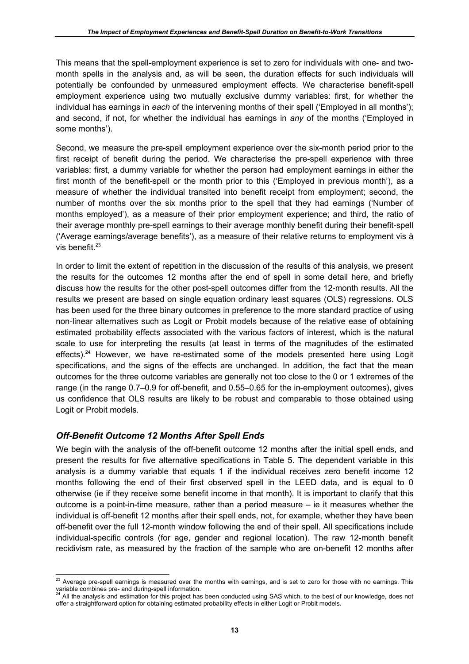This means that the spell-employment experience is set to zero for individuals with one- and twomonth spells in the analysis and, as will be seen, the duration effects for such individuals will potentially be confounded by unmeasured employment effects. We characterise benefit-spell employment experience using two mutually exclusive dummy variables: first, for whether the individual has earnings in *each* of the intervening months of their spell ('Employed in all months'); and second, if not, for whether the individual has earnings in *any* of the months ('Employed in some months').

Second, we measure the pre-spell employment experience over the six-month period prior to the first receipt of benefit during the period. We characterise the pre-spell experience with three variables: first, a dummy variable for whether the person had employment earnings in either the first month of the benefit-spell or the month prior to this ('Employed in previous month'), as a measure of whether the individual transited into benefit receipt from employment; second, the number of months over the six months prior to the spell that they had earnings ('Number of months employed'), as a measure of their prior employment experience; and third, the ratio of their average monthly pre-spell earnings to their average monthly benefit during their benefit-spell ('Average earnings/average benefits'), as a measure of their relative returns to employment vis à vis benefit. $23$ 

In order to limit the extent of repetition in the discussion of the results of this analysis, we present the results for the outcomes 12 months after the end of spell in some detail here, and briefly discuss how the results for the other post-spell outcomes differ from the 12-month results. All the results we present are based on single equation ordinary least squares (OLS) regressions. OLS has been used for the three binary outcomes in preference to the more standard practice of using non-linear alternatives such as Logit or Probit models because of the relative ease of obtaining estimated probability effects associated with the various factors of interest, which is the natural scale to use for interpreting the results (at least in terms of the magnitudes of the estimated effects).<sup>24</sup> However, we have re-estimated some of the models presented here using Logit specifications, and the signs of the effects are unchanged. In addition, the fact that the mean outcomes for the three outcome variables are generally not too close to the 0 or 1 extremes of the range (in the range 0.7–0.9 for off-benefit, and 0.55–0.65 for the in-employment outcomes), gives us confidence that OLS results are likely to be robust and comparable to those obtained using Logit or Probit models.

# *Off-Benefit Outcome 12 Months After Spell Ends*

 $\overline{a}$ 

We begin with the analysis of the off-benefit outcome 12 months after the initial spell ends, and present the results for five alternative specifications in Table 5. The dependent variable in this analysis is a dummy variable that equals 1 if the individual receives zero benefit income 12 months following the end of their first observed spell in the LEED data, and is equal to 0 otherwise (ie if they receive some benefit income in that month). It is important to clarify that this outcome is a point-in-time measure, rather than a period measure – ie it measures whether the individual is off-benefit 12 months after their spell ends, not, for example, whether they have been off-benefit over the full 12-month window following the end of their spell. All specifications include individual-specific controls (for age, gender and regional location). The raw 12-month benefit recidivism rate, as measured by the fraction of the sample who are on-benefit 12 months after

 $^{23}$  Average pre-spell earnings is measured over the months with earnings, and is set to zero for those with no earnings. This variable combines pre- and during-spell information.<br><sup>24</sup> All the analysis and estimation for this project has been conducted using SAS which, to the best of our knowledge, does not

offer a straightforward option for obtaining estimated probability effects in either Logit or Probit models.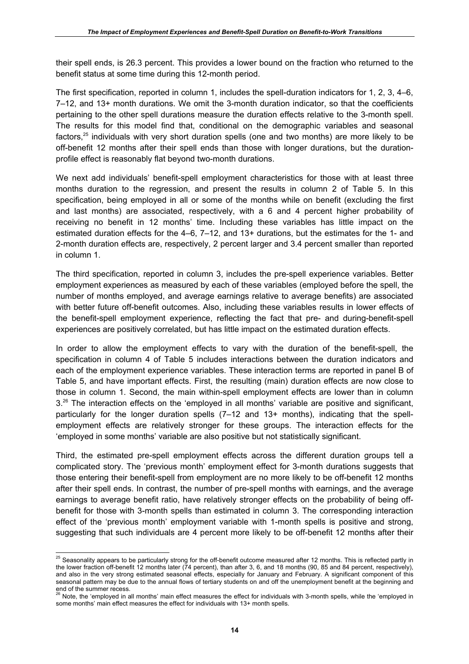their spell ends, is 26.3 percent. This provides a lower bound on the fraction who returned to the benefit status at some time during this 12-month period.

The first specification, reported in column 1, includes the spell-duration indicators for 1, 2, 3, 4–6, 7–12, and 13+ month durations. We omit the 3-month duration indicator, so that the coefficients pertaining to the other spell durations measure the duration effects relative to the 3-month spell. The results for this model find that, conditional on the demographic variables and seasonal factors,<sup>25</sup> individuals with very short duration spells (one and two months) are more likely to be off-benefit 12 months after their spell ends than those with longer durations, but the durationprofile effect is reasonably flat beyond two-month durations.

We next add individuals' benefit-spell employment characteristics for those with at least three months duration to the regression, and present the results in column 2 of Table 5. In this specification, being employed in all or some of the months while on benefit (excluding the first and last months) are associated, respectively, with a 6 and 4 percent higher probability of receiving no benefit in 12 months' time. Including these variables has little impact on the estimated duration effects for the 4–6, 7–12, and 13+ durations, but the estimates for the 1- and 2-month duration effects are, respectively, 2 percent larger and 3.4 percent smaller than reported in column 1.

The third specification, reported in column 3, includes the pre-spell experience variables. Better employment experiences as measured by each of these variables (employed before the spell, the number of months employed, and average earnings relative to average benefits) are associated with better future off-benefit outcomes. Also, including these variables results in lower effects of the benefit-spell employment experience, reflecting the fact that pre- and during-benefit-spell experiences are positively correlated, but has little impact on the estimated duration effects.

In order to allow the employment effects to vary with the duration of the benefit-spell, the specification in column 4 of Table 5 includes interactions between the duration indicators and each of the employment experience variables. These interaction terms are reported in panel B of Table 5, and have important effects. First, the resulting (main) duration effects are now close to those in column 1. Second, the main within-spell employment effects are lower than in column 3.<sup>26</sup> The interaction effects on the 'employed in all months' variable are positive and significant, particularly for the longer duration spells (7–12 and 13+ months), indicating that the spellemployment effects are relatively stronger for these groups. The interaction effects for the 'employed in some months' variable are also positive but not statistically significant.

Third, the estimated pre-spell employment effects across the different duration groups tell a complicated story. The 'previous month' employment effect for 3-month durations suggests that those entering their benefit-spell from employment are no more likely to be off-benefit 12 months after their spell ends. In contrast, the number of pre-spell months with earnings, and the average earnings to average benefit ratio, have relatively stronger effects on the probability of being offbenefit for those with 3-month spells than estimated in column 3. The corresponding interaction effect of the 'previous month' employment variable with 1-month spells is positive and strong, suggesting that such individuals are 4 percent more likely to be off-benefit 12 months after their

 $\overline{a}$  $^{25}$  Seasonality appears to be particularly strong for the off-benefit outcome measured after 12 months. This is reflected partly in the lower fraction off-benefit 12 months later (74 percent), than after 3, 6, and 18 months (90, 85 and 84 percent, respectively), and also in the very strong estimated seasonal effects, especially for January and February. A significant component of this seasonal pattern may be due to the annual flows of tertiary students on and off the unemployment benefit at the beginning and

end of the summer recess.<br><sup>26</sup> Note, the 'employed in all months' main effect measures the effect for individuals with 3-month spells, while the 'employed in some months' main effect measures the effect for individuals with 13+ month spells.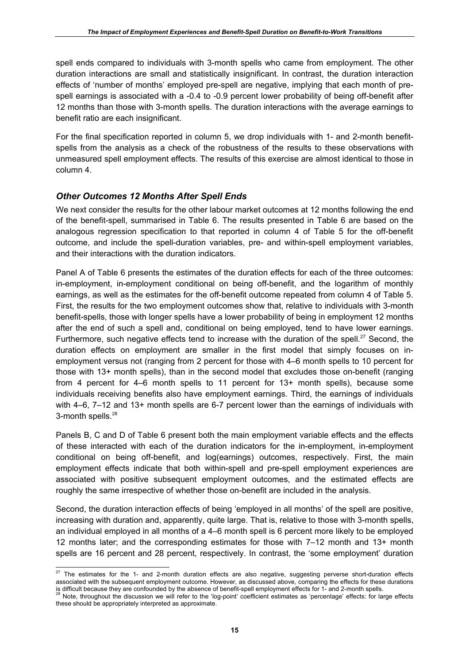spell ends compared to individuals with 3-month spells who came from employment. The other duration interactions are small and statistically insignificant. In contrast, the duration interaction effects of 'number of months' employed pre-spell are negative, implying that each month of prespell earnings is associated with a -0.4 to -0.9 percent lower probability of being off-benefit after 12 months than those with 3-month spells. The duration interactions with the average earnings to benefit ratio are each insignificant.

For the final specification reported in column 5, we drop individuals with 1- and 2-month benefitspells from the analysis as a check of the robustness of the results to these observations with unmeasured spell employment effects. The results of this exercise are almost identical to those in column 4.

# *Other Outcomes 12 Months After Spell Ends*

We next consider the results for the other labour market outcomes at 12 months following the end of the benefit-spell, summarised in Table 6. The results presented in Table 6 are based on the analogous regression specification to that reported in column 4 of Table 5 for the off-benefit outcome, and include the spell-duration variables, pre- and within-spell employment variables, and their interactions with the duration indicators.

Panel A of Table 6 presents the estimates of the duration effects for each of the three outcomes: in-employment, in-employment conditional on being off-benefit, and the logarithm of monthly earnings, as well as the estimates for the off-benefit outcome repeated from column 4 of Table 5. First, the results for the two employment outcomes show that, relative to individuals with 3-month benefit-spells, those with longer spells have a lower probability of being in employment 12 months after the end of such a spell and, conditional on being employed, tend to have lower earnings. Furthermore, such negative effects tend to increase with the duration of the spell.<sup>27</sup> Second, the duration effects on employment are smaller in the first model that simply focuses on inemployment versus not (ranging from 2 percent for those with 4–6 month spells to 10 percent for those with 13+ month spells), than in the second model that excludes those on-benefit (ranging from 4 percent for 4–6 month spells to 11 percent for 13+ month spells), because some individuals receiving benefits also have employment earnings. Third, the earnings of individuals with 4–6, 7–12 and 13+ month spells are 6-7 percent lower than the earnings of individuals with 3-month spells.<sup>28</sup>

Panels B, C and D of Table 6 present both the main employment variable effects and the effects of these interacted with each of the duration indicators for the in-employment, in-employment conditional on being off-benefit, and log(earnings) outcomes, respectively. First, the main employment effects indicate that both within-spell and pre-spell employment experiences are associated with positive subsequent employment outcomes, and the estimated effects are roughly the same irrespective of whether those on-benefit are included in the analysis.

Second, the duration interaction effects of being 'employed in all months' of the spell are positive, increasing with duration and, apparently, quite large. That is, relative to those with 3-month spells, an individual employed in all months of a 4–6 month spell is 6 percent more likely to be employed 12 months later; and the corresponding estimates for those with 7–12 month and 13+ month spells are 16 percent and 28 percent, respectively. In contrast, the 'some employment' duration

 $\overline{a}$  $27$  The estimates for the 1- and 2-month duration effects are also negative, suggesting perverse short-duration effects associated with the subsequent employment outcome. However, as discussed above, comparing the effects for these durations

is difficult because they are confounded by the absence of benefit-spell employment effects for 1- and 2-month spells.<br><sup>28</sup> Note, throughout the discussion we will refer to the 'log-point' coefficient estimates as 'percent these should be appropriately interpreted as approximate.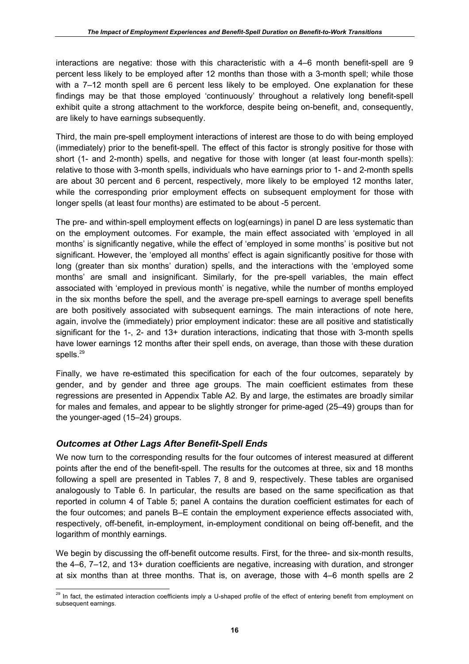interactions are negative: those with this characteristic with a 4–6 month benefit-spell are 9 percent less likely to be employed after 12 months than those with a 3-month spell; while those with a 7–12 month spell are 6 percent less likely to be employed. One explanation for these findings may be that those employed 'continuously' throughout a relatively long benefit-spell exhibit quite a strong attachment to the workforce, despite being on-benefit, and, consequently, are likely to have earnings subsequently.

Third, the main pre-spell employment interactions of interest are those to do with being employed (immediately) prior to the benefit-spell. The effect of this factor is strongly positive for those with short (1- and 2-month) spells, and negative for those with longer (at least four-month spells): relative to those with 3-month spells, individuals who have earnings prior to 1- and 2-month spells are about 30 percent and 6 percent, respectively, more likely to be employed 12 months later, while the corresponding prior employment effects on subsequent employment for those with longer spells (at least four months) are estimated to be about -5 percent.

The pre- and within-spell employment effects on log(earnings) in panel D are less systematic than on the employment outcomes. For example, the main effect associated with 'employed in all months' is significantly negative, while the effect of 'employed in some months' is positive but not significant. However, the 'employed all months' effect is again significantly positive for those with long (greater than six months' duration) spells, and the interactions with the 'employed some months' are small and insignificant. Similarly, for the pre-spell variables, the main effect associated with 'employed in previous month' is negative, while the number of months employed in the six months before the spell, and the average pre-spell earnings to average spell benefits are both positively associated with subsequent earnings. The main interactions of note here, again, involve the (immediately) prior employment indicator: these are all positive and statistically significant for the 1-, 2- and 13+ duration interactions, indicating that those with 3-month spells have lower earnings 12 months after their spell ends, on average, than those with these duration spells.<sup>29</sup>

Finally, we have re-estimated this specification for each of the four outcomes, separately by gender, and by gender and three age groups. The main coefficient estimates from these regressions are presented in Appendix Table A2. By and large, the estimates are broadly similar for males and females, and appear to be slightly stronger for prime-aged (25–49) groups than for the younger-aged (15–24) groups.

# *Outcomes at Other Lags After Benefit-Spell Ends*

We now turn to the corresponding results for the four outcomes of interest measured at different points after the end of the benefit-spell. The results for the outcomes at three, six and 18 months following a spell are presented in Tables 7, 8 and 9, respectively. These tables are organised analogously to Table 6. In particular, the results are based on the same specification as that reported in column 4 of Table 5; panel A contains the duration coefficient estimates for each of the four outcomes; and panels B–E contain the employment experience effects associated with, respectively, off-benefit, in-employment, in-employment conditional on being off-benefit, and the logarithm of monthly earnings.

We begin by discussing the off-benefit outcome results. First, for the three- and six-month results, the 4–6, 7–12, and 13+ duration coefficients are negative, increasing with duration, and stronger at six months than at three months. That is, on average, those with 4–6 month spells are 2

 $\overline{a}$ <sup>29</sup> In fact, the estimated interaction coefficients imply a U-shaped profile of the effect of entering benefit from employment on subsequent earnings.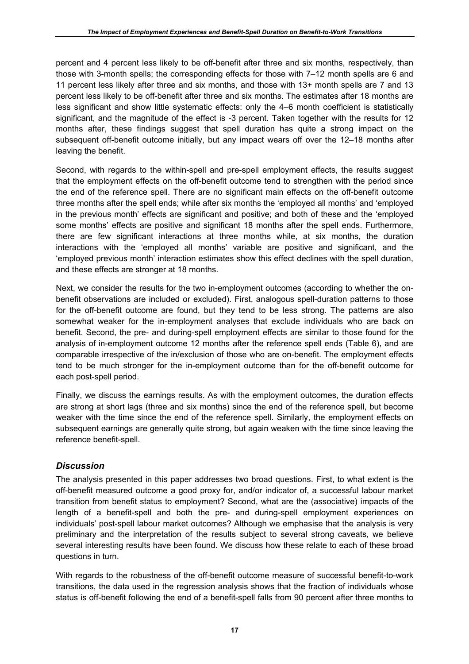percent and 4 percent less likely to be off-benefit after three and six months, respectively, than those with 3-month spells; the corresponding effects for those with 7–12 month spells are 6 and 11 percent less likely after three and six months, and those with 13+ month spells are 7 and 13 percent less likely to be off-benefit after three and six months. The estimates after 18 months are less significant and show little systematic effects: only the 4–6 month coefficient is statistically significant, and the magnitude of the effect is -3 percent. Taken together with the results for 12 months after, these findings suggest that spell duration has quite a strong impact on the subsequent off-benefit outcome initially, but any impact wears off over the 12–18 months after leaving the benefit.

Second, with regards to the within-spell and pre-spell employment effects, the results suggest that the employment effects on the off-benefit outcome tend to strengthen with the period since the end of the reference spell. There are no significant main effects on the off-benefit outcome three months after the spell ends; while after six months the 'employed all months' and 'employed in the previous month' effects are significant and positive; and both of these and the 'employed some months' effects are positive and significant 18 months after the spell ends. Furthermore, there are few significant interactions at three months while, at six months, the duration interactions with the 'employed all months' variable are positive and significant, and the 'employed previous month' interaction estimates show this effect declines with the spell duration, and these effects are stronger at 18 months.

Next, we consider the results for the two in-employment outcomes (according to whether the onbenefit observations are included or excluded). First, analogous spell-duration patterns to those for the off-benefit outcome are found, but they tend to be less strong. The patterns are also somewhat weaker for the in-employment analyses that exclude individuals who are back on benefit. Second, the pre- and during-spell employment effects are similar to those found for the analysis of in-employment outcome 12 months after the reference spell ends (Table 6), and are comparable irrespective of the in/exclusion of those who are on-benefit. The employment effects tend to be much stronger for the in-employment outcome than for the off-benefit outcome for each post-spell period.

Finally, we discuss the earnings results. As with the employment outcomes, the duration effects are strong at short lags (three and six months) since the end of the reference spell, but become weaker with the time since the end of the reference spell. Similarly, the employment effects on subsequent earnings are generally quite strong, but again weaken with the time since leaving the reference benefit-spell.

# *Discussion*

The analysis presented in this paper addresses two broad questions. First, to what extent is the off-benefit measured outcome a good proxy for, and/or indicator of, a successful labour market transition from benefit status to employment? Second, what are the (associative) impacts of the length of a benefit-spell and both the pre- and during-spell employment experiences on individuals' post-spell labour market outcomes? Although we emphasise that the analysis is very preliminary and the interpretation of the results subject to several strong caveats, we believe several interesting results have been found. We discuss how these relate to each of these broad questions in turn.

With regards to the robustness of the off-benefit outcome measure of successful benefit-to-work transitions, the data used in the regression analysis shows that the fraction of individuals whose status is off-benefit following the end of a benefit-spell falls from 90 percent after three months to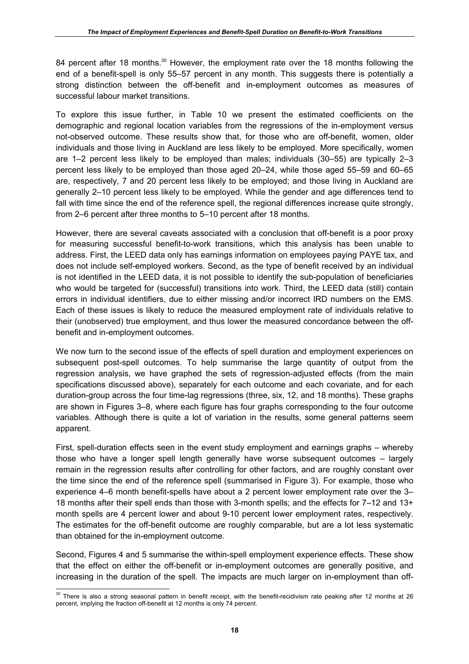84 percent after 18 months.<sup>30</sup> However, the employment rate over the 18 months following the end of a benefit-spell is only 55–57 percent in any month. This suggests there is potentially a strong distinction between the off-benefit and in-employment outcomes as measures of successful labour market transitions.

To explore this issue further, in Table 10 we present the estimated coefficients on the demographic and regional location variables from the regressions of the in-employment versus not-observed outcome. These results show that, for those who are off-benefit, women, older individuals and those living in Auckland are less likely to be employed. More specifically, women are 1–2 percent less likely to be employed than males; individuals (30–55) are typically 2–3 percent less likely to be employed than those aged 20–24, while those aged 55–59 and 60–65 are, respectively, 7 and 20 percent less likely to be employed; and those living in Auckland are generally 2–10 percent less likely to be employed. While the gender and age differences tend to fall with time since the end of the reference spell, the regional differences increase quite strongly, from 2–6 percent after three months to 5–10 percent after 18 months.

However, there are several caveats associated with a conclusion that off-benefit is a poor proxy for measuring successful benefit-to-work transitions, which this analysis has been unable to address. First, the LEED data only has earnings information on employees paying PAYE tax, and does not include self-employed workers. Second, as the type of benefit received by an individual is not identified in the LEED data, it is not possible to identify the sub-population of beneficiaries who would be targeted for (successful) transitions into work. Third, the LEED data (still) contain errors in individual identifiers, due to either missing and/or incorrect IRD numbers on the EMS. Each of these issues is likely to reduce the measured employment rate of individuals relative to their (unobserved) true employment, and thus lower the measured concordance between the offbenefit and in-employment outcomes.

We now turn to the second issue of the effects of spell duration and employment experiences on subsequent post-spell outcomes. To help summarise the large quantity of output from the regression analysis, we have graphed the sets of regression-adjusted effects (from the main specifications discussed above), separately for each outcome and each covariate, and for each duration-group across the four time-lag regressions (three, six, 12, and 18 months). These graphs are shown in Figures 3–8, where each figure has four graphs corresponding to the four outcome variables. Although there is quite a lot of variation in the results, some general patterns seem apparent.

First, spell-duration effects seen in the event study employment and earnings graphs – whereby those who have a longer spell length generally have worse subsequent outcomes – largely remain in the regression results after controlling for other factors, and are roughly constant over the time since the end of the reference spell (summarised in Figure 3). For example, those who experience 4–6 month benefit-spells have about a 2 percent lower employment rate over the 3– 18 months after their spell ends than those with 3-month spells; and the effects for 7–12 and 13+ month spells are 4 percent lower and about 9-10 percent lower employment rates, respectively. The estimates for the off-benefit outcome are roughly comparable, but are a lot less systematic than obtained for the in-employment outcome.

Second, Figures 4 and 5 summarise the within-spell employment experience effects. These show that the effect on either the off-benefit or in-employment outcomes are generally positive, and increasing in the duration of the spell. The impacts are much larger on in-employment than off-

 $\overline{a}$  $30$  There is also a strong seasonal pattern in benefit receipt, with the benefit-recidivism rate peaking after 12 months at 26 percent, implying the fraction off-benefit at 12 months is only 74 percent.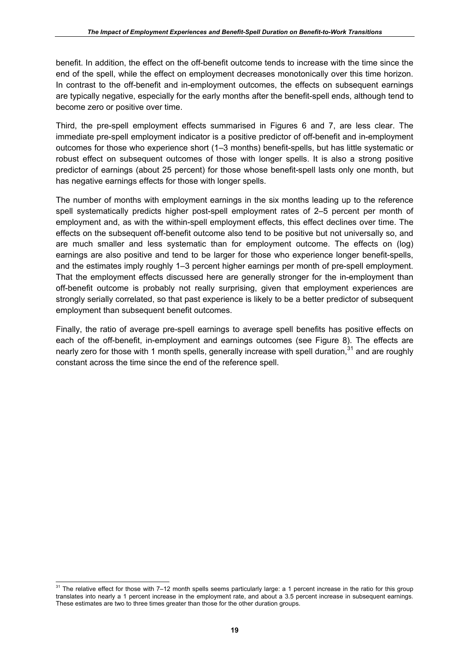benefit. In addition, the effect on the off-benefit outcome tends to increase with the time since the end of the spell, while the effect on employment decreases monotonically over this time horizon. In contrast to the off-benefit and in-employment outcomes, the effects on subsequent earnings are typically negative, especially for the early months after the benefit-spell ends, although tend to become zero or positive over time.

Third, the pre-spell employment effects summarised in Figures 6 and 7, are less clear. The immediate pre-spell employment indicator is a positive predictor of off-benefit and in-employment outcomes for those who experience short (1–3 months) benefit-spells, but has little systematic or robust effect on subsequent outcomes of those with longer spells. It is also a strong positive predictor of earnings (about 25 percent) for those whose benefit-spell lasts only one month, but has negative earnings effects for those with longer spells.

The number of months with employment earnings in the six months leading up to the reference spell systematically predicts higher post-spell employment rates of 2–5 percent per month of employment and, as with the within-spell employment effects, this effect declines over time. The effects on the subsequent off-benefit outcome also tend to be positive but not universally so, and are much smaller and less systematic than for employment outcome. The effects on (log) earnings are also positive and tend to be larger for those who experience longer benefit-spells, and the estimates imply roughly 1–3 percent higher earnings per month of pre-spell employment. That the employment effects discussed here are generally stronger for the in-employment than off-benefit outcome is probably not really surprising, given that employment experiences are strongly serially correlated, so that past experience is likely to be a better predictor of subsequent employment than subsequent benefit outcomes.

Finally, the ratio of average pre-spell earnings to average spell benefits has positive effects on each of the off-benefit, in-employment and earnings outcomes (see Figure 8). The effects are nearly zero for those with 1 month spells, generally increase with spell duration,  $31$  and are roughly constant across the time since the end of the reference spell.

 $\overline{a}$  $31$  The relative effect for those with 7–12 month spells seems particularly large: a 1 percent increase in the ratio for this group translates into nearly a 1 percent increase in the employment rate, and about a 3.5 percent increase in subsequent earnings. These estimates are two to three times greater than those for the other duration groups.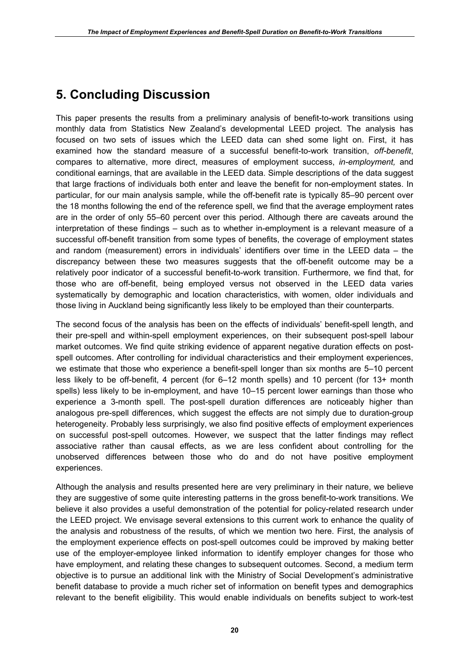# **5. Concluding Discussion**

This paper presents the results from a preliminary analysis of benefit-to-work transitions using monthly data from Statistics New Zealand's developmental LEED project. The analysis has focused on two sets of issues which the LEED data can shed some light on. First, it has examined how the standard measure of a successful benefit-to-work transition, *off-benefit*, compares to alternative, more direct, measures of employment success, *in-employment,* and conditional earnings, that are available in the LEED data. Simple descriptions of the data suggest that large fractions of individuals both enter and leave the benefit for non-employment states. In particular, for our main analysis sample, while the off-benefit rate is typically 85–90 percent over the 18 months following the end of the reference spell, we find that the average employment rates are in the order of only 55–60 percent over this period. Although there are caveats around the interpretation of these findings – such as to whether in-employment is a relevant measure of a successful off-benefit transition from some types of benefits, the coverage of employment states and random (measurement) errors in individuals' identifiers over time in the LEED data – the discrepancy between these two measures suggests that the off-benefit outcome may be a relatively poor indicator of a successful benefit-to-work transition. Furthermore, we find that, for those who are off-benefit, being employed versus not observed in the LEED data varies systematically by demographic and location characteristics, with women, older individuals and those living in Auckland being significantly less likely to be employed than their counterparts.

The second focus of the analysis has been on the effects of individuals' benefit-spell length, and their pre-spell and within-spell employment experiences, on their subsequent post-spell labour market outcomes. We find quite striking evidence of apparent negative duration effects on postspell outcomes. After controlling for individual characteristics and their employment experiences, we estimate that those who experience a benefit-spell longer than six months are 5–10 percent less likely to be off-benefit, 4 percent (for 6–12 month spells) and 10 percent (for 13+ month spells) less likely to be in-employment, and have 10–15 percent lower earnings than those who experience a 3-month spell. The post-spell duration differences are noticeably higher than analogous pre-spell differences, which suggest the effects are not simply due to duration-group heterogeneity. Probably less surprisingly, we also find positive effects of employment experiences on successful post-spell outcomes. However, we suspect that the latter findings may reflect associative rather than causal effects, as we are less confident about controlling for the unobserved differences between those who do and do not have positive employment experiences.

Although the analysis and results presented here are very preliminary in their nature, we believe they are suggestive of some quite interesting patterns in the gross benefit-to-work transitions. We believe it also provides a useful demonstration of the potential for policy-related research under the LEED project. We envisage several extensions to this current work to enhance the quality of the analysis and robustness of the results, of which we mention two here. First, the analysis of the employment experience effects on post-spell outcomes could be improved by making better use of the employer-employee linked information to identify employer changes for those who have employment, and relating these changes to subsequent outcomes. Second, a medium term objective is to pursue an additional link with the Ministry of Social Development's administrative benefit database to provide a much richer set of information on benefit types and demographics relevant to the benefit eligibility. This would enable individuals on benefits subject to work-test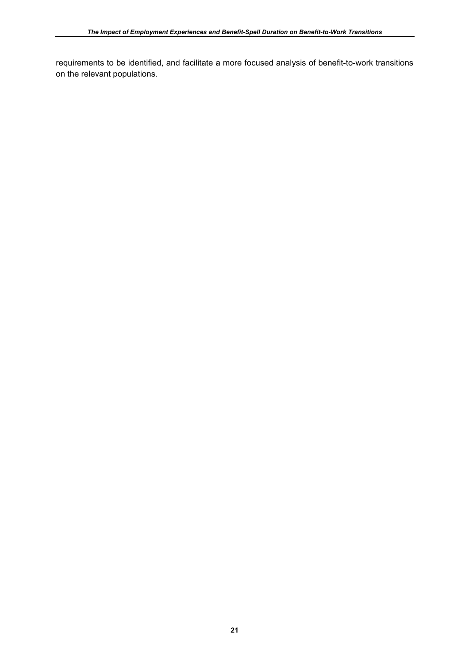requirements to be identified, and facilitate a more focused analysis of benefit-to-work transitions on the relevant populations.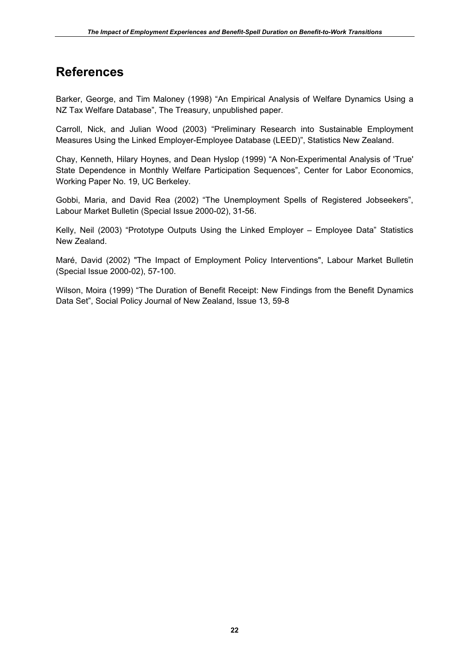# **References**

Barker, George, and Tim Maloney (1998) "An Empirical Analysis of Welfare Dynamics Using a NZ Tax Welfare Database", The Treasury, unpublished paper.

Carroll, Nick, and Julian Wood (2003) "Preliminary Research into Sustainable Employment Measures Using the Linked Employer-Employee Database (LEED)", Statistics New Zealand.

Chay, Kenneth, Hilary Hoynes, and Dean Hyslop (1999) "A Non-Experimental Analysis of 'True' State Dependence in Monthly Welfare Participation Sequences", Center for Labor Economics, Working Paper No. 19, UC Berkeley.

Gobbi, Maria, and David Rea (2002) "The Unemployment Spells of Registered Jobseekers", Labour Market Bulletin (Special Issue 2000-02), 31-56.

Kelly, Neil (2003) "Prototype Outputs Using the Linked Employer – Employee Data" Statistics New Zealand.

Maré, David (2002) "The Impact of Employment Policy Interventions", Labour Market Bulletin (Special Issue 2000-02), 57-100.

Wilson, Moira (1999) "The Duration of Benefit Receipt: New Findings from the Benefit Dynamics Data Set", Social Policy Journal of New Zealand, Issue 13, 59-8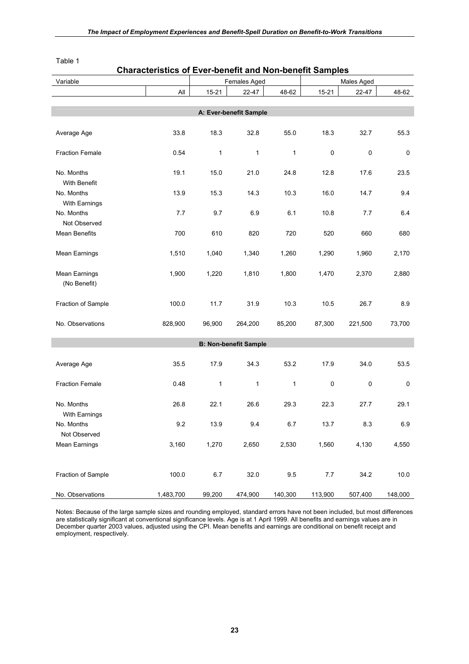| Variable<br>Females Aged                                                         | Males Aged             |
|----------------------------------------------------------------------------------|------------------------|
| $A\parallel$<br>$15 - 21$<br>48-62<br>$15 - 21$<br>22-47                         | 48-62<br>22-47         |
|                                                                                  |                        |
| A: Ever-benefit Sample                                                           |                        |
|                                                                                  |                        |
| 33.8<br>18.3<br>32.8<br>55.0<br>18.3<br>Average Age                              | 32.7<br>55.3           |
|                                                                                  |                        |
| 0.54<br>1<br>0<br><b>Fraction Female</b><br>$\mathbf{1}$<br>1                    | $\pmb{0}$<br>$\pmb{0}$ |
| 19.1<br>15.0<br>No. Months<br>21.0<br>24.8<br>12.8                               | 17.6<br>23.5           |
| With Benefit                                                                     |                        |
| 13.9<br>15.3<br>10.3<br>No. Months<br>14.3<br>16.0                               | 9.4<br>14.7            |
| With Earnings                                                                    |                        |
| 7.7<br>6.9<br>No. Months<br>9.7<br>6.1<br>10.8                                   | 7.7<br>6.4             |
| Not Observed                                                                     |                        |
| Mean Benefits<br>700<br>610<br>820<br>720<br>520                                 | 660<br>680             |
|                                                                                  |                        |
| <b>Mean Earnings</b><br>1,510<br>1,040<br>1,340<br>1,260<br>1,290                | 1,960<br>2,170         |
|                                                                                  |                        |
| Mean Earnings<br>1,900<br>1,220<br>1,810<br>1,470<br>1,800<br>(No Benefit)       | 2,370<br>2,880         |
|                                                                                  |                        |
| Fraction of Sample<br>100.0<br>11.7<br>31.9<br>10.3<br>10.5                      | 26.7<br>8.9            |
|                                                                                  |                        |
| 828,900<br>85,200<br>87,300<br>No. Observations<br>96,900<br>264,200             | 73,700<br>221,500      |
|                                                                                  |                        |
| <b>B: Non-benefit Sample</b>                                                     |                        |
|                                                                                  |                        |
| 53.2<br>35.5<br>17.9<br>34.3<br>17.9<br>Average Age                              | 34.0<br>53.5           |
| $\mathbf{1}$<br><b>Fraction Female</b><br>0.48<br>1<br>$\mathbf{1}$<br>$\pmb{0}$ | $\pmb{0}$<br>$\pmb{0}$ |
|                                                                                  |                        |
| No. Months<br>26.8<br>22.1<br>26.6<br>29.3<br>22.3                               | 29.1<br>27.7           |
| With Earnings                                                                    |                        |
| 9.2<br>13.9<br>No. Months<br>9.4<br>6.7<br>13.7                                  | 8.3<br>6.9             |
| Not Observed                                                                     |                        |
| <b>Mean Earnings</b><br>3,160<br>1,270<br>2,650<br>2,530<br>1,560                | 4,130<br>4,550         |
|                                                                                  |                        |
|                                                                                  |                        |
| 100.0<br>9.5<br>Fraction of Sample<br>6.7<br>32.0<br>7.7                         | 34.2<br>10.0           |
| No. Observations<br>1,483,700<br>99,200<br>474,900<br>140,300<br>113,900         | 507,400<br>148,000     |

# **Characteristics of Ever-benefit and Non-benefit Samples**

Notes: Because of the large sample sizes and rounding employed, standard errors have not been included, but most differences are statistically significant at conventional significance levels. Age is at 1 April 1999. All benefits and earnings values are in December quarter 2003 values, adjusted using the CPI. Mean benefits and earnings are conditional on benefit receipt and employment, respectively.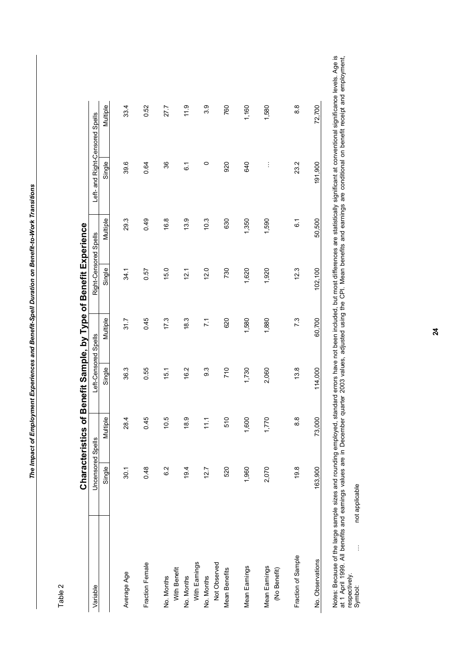Characteristics of Benefit Sample, by Type of Benefit Experience **Characteristics of Benefit Sample, by Type of Benefit Experience**

| Variable                      | Uncensored Spells |                | Left-Censored Spells |                | Right-Censored Spells |                  | Left- and Right-Censored Spells |          |
|-------------------------------|-------------------|----------------|----------------------|----------------|-----------------------|------------------|---------------------------------|----------|
|                               | Single            | Multiple       | Single               | Multiple       | Single                | Multiple         | Single                          | Multiple |
| Average Age                   | 30.1              | 28.4           | 36.3                 | 31.7           | 34.1                  | 29.3             | 39.6                            | 33.4     |
| Fraction Female               | 0.48              | 0.45           | 0.55                 | 0.45           | 0.57                  | 0.49             | 0.64                            | 0.52     |
| No. Months                    | 6.2               | 10.5           | 15.1                 | 17.3           | 15.0                  | 16.8             | 36                              | 27.7     |
| With Benefit<br>No. Months    | 19.4              | 18.9           | 16.2                 | 18.3           | 12.1                  | 13.9             | $\overline{6}$ .                | 11.9     |
| With Earnings                 |                   |                |                      |                |                       |                  |                                 |          |
| Not Observed<br>No. Months    | 12.7              | $\frac{1}{11}$ | 9.3                  | $\overline{7}$ | 12.0                  | 10.3             | 0                               | 3.9      |
| <b>Mean Benefits</b>          | 520               | 510            | 710                  | 620            | 730                   | 630              | 920                             | 760      |
| Mean Earnings                 | 1,960             | 600            | 1,730                | 1,580          | 1,620                 | 1,350            | 640                             | 1,160    |
| Mean Earnings<br>(No Benefit) | 2,070             | 770            | 2,060                | 1,880          | 1,920                 | 1,590            | $\vdots$                        | 1,580    |
| Fraction of Sample            | 19.8              | 8.8            | 13.8                 | 7.3            | 12.3                  | $\overline{6}$ . | 23.2                            | 8.8      |
| No. Observations              | 163,900           | 000<br>73,     | 114,000              | 60,700         | 102,100               | 50,500           | 191,900                         | 72,700   |

Notes: Because of the large sample sizes and rounding employed, standard errors have not been included, but most differences are statistically significant at conventional significance levels. Age is<br>at 1 April 1999. All be Notes: Because of the large sample sizes and rounding employed, standard errors have not been included, but most differences are statistically significant at conventional significance levels. Age is at 1 April 1999. All benefits and earnings values are in December quarter 2003 values, adjusted using the CPI. Mean benefits and earnings are conditional on benefit receipt and employment, respectively.

Symbol: …. not applicable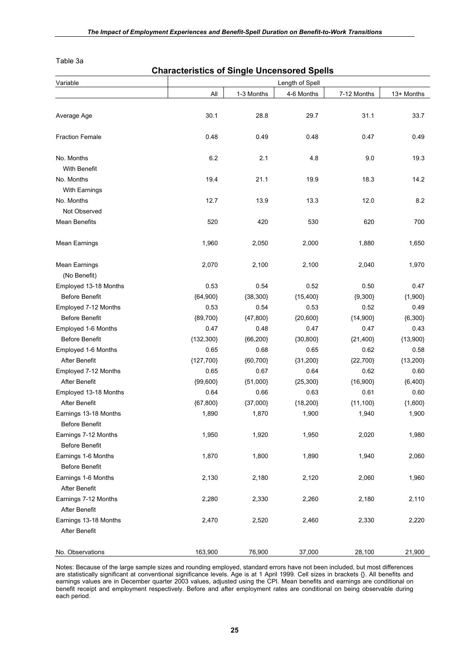Table 3a

| <b>Characteristics of Single Uncensored Spells</b> |             |            |                 |             |            |  |  |  |
|----------------------------------------------------|-------------|------------|-----------------|-------------|------------|--|--|--|
| Variable                                           |             |            | Length of Spell |             |            |  |  |  |
|                                                    | All         | 1-3 Months | 4-6 Months      | 7-12 Months | 13+ Months |  |  |  |
|                                                    |             |            |                 |             |            |  |  |  |
| Average Age                                        | 30.1        | 28.8       | 29.7            | 31.1        | 33.7       |  |  |  |
| <b>Fraction Female</b>                             | 0.48        | 0.49       | 0.48            | 0.47        | 0.49       |  |  |  |
| No. Months                                         | 6.2         | 2.1        | 4.8             | 9.0         | 19.3       |  |  |  |
| With Benefit                                       |             |            |                 |             |            |  |  |  |
| No. Months                                         | 19.4        | 21.1       | 19.9            | 18.3        | 14.2       |  |  |  |
| With Earnings                                      |             |            |                 |             |            |  |  |  |
| No. Months                                         | 12.7        | 13.9       | 13.3            | 12.0        | 8.2        |  |  |  |
| Not Observed                                       |             |            |                 |             |            |  |  |  |
| <b>Mean Benefits</b>                               | 520         | 420        | 530             | 620         | 700        |  |  |  |
| <b>Mean Earnings</b>                               | 1,960       | 2,050      | 2,000           | 1,880       | 1,650      |  |  |  |
| <b>Mean Earnings</b>                               | 2,070       | 2,100      | 2,100           | 2,040       | 1,970      |  |  |  |
| (No Benefit)<br>Employed 13-18 Months              | 0.53        | 0.54       | 0.52            | 0.50        | 0.47       |  |  |  |
| <b>Before Benefit</b>                              | ${64,900}$  | ${38,300}$ | ${15,400}$      | ${9,300}$   | ${1,900}$  |  |  |  |
| Employed 7-12 Months                               | 0.53        | 0.54       | 0.53            | 0.52        | 0.49       |  |  |  |
| <b>Before Benefit</b>                              | ${89,700}$  | ${47,800}$ | ${20,600}$      | ${14,900}$  | ${6,300}$  |  |  |  |
| Employed 1-6 Months                                | 0.47        | 0.48       | 0.47            | 0.47        | 0.43       |  |  |  |
| Before Benefit                                     | ${132,300}$ | ${66,200}$ | ${30,800}$      | ${21,400}$  | ${13,900}$ |  |  |  |
| Employed 1-6 Months                                | 0.65        | 0.68       | 0.65            | 0.62        | 0.58       |  |  |  |
| After Benefit                                      | ${127,700}$ | ${60,700}$ | ${31,200}$      | ${22,700}$  | ${13,200}$ |  |  |  |
| Employed 7-12 Months                               | 0.65        | 0.67       | 0.64            | 0.62        | 0.60       |  |  |  |
| After Benefit                                      | ${99,600}$  | ${51,000}$ | ${25,300}$      | ${16,900}$  | ${6,400}$  |  |  |  |
| Employed 13-18 Months                              | 0.64        | 0.66       | 0.63            | 0.61        | 0.60       |  |  |  |
| After Benefit                                      | ${67,800}$  | ${37,000}$ | ${18,200}$      | ${11,100}$  | ${1,600}$  |  |  |  |
| Earnings 13-18 Months                              | 1,890       | 1,870      | 1,900           | 1,940       | 1,900      |  |  |  |
| Before Benefit                                     |             |            |                 |             |            |  |  |  |
| Earnings 7-12 Months                               | 1,950       | 1,920      | 1,950           | 2,020       | 1,980      |  |  |  |
| <b>Before Benefit</b>                              |             |            |                 |             |            |  |  |  |
| Earnings 1-6 Months                                | 1,870       | 1,800      | 1,890           | 1,940       | 2,060      |  |  |  |
| Before Benefit                                     |             |            |                 |             |            |  |  |  |
| Earnings 1-6 Months                                | 2,130       | 2,180      | 2,120           | 2,060       | 1,960      |  |  |  |
| After Benefit                                      |             |            |                 |             |            |  |  |  |
| Earnings 7-12 Months                               | 2,280       | 2,330      | 2,260           | 2,180       | 2,110      |  |  |  |
| After Benefit                                      |             |            |                 |             |            |  |  |  |
| Earnings 13-18 Months                              | 2,470       | 2,520      | 2,460           | 2,330       | 2,220      |  |  |  |
| After Benefit                                      |             |            |                 |             |            |  |  |  |
|                                                    |             |            |                 |             |            |  |  |  |
| No. Observations                                   | 163,900     | 76,900     | 37,000          | 28,100      | 21,900     |  |  |  |

Notes: Because of the large sample sizes and rounding employed, standard errors have not been included, but most differences are statistically significant at conventional significance levels. Age is at 1 April 1999. Cell sizes in brackets {}. All benefits and earnings values are in December quarter 2003 values, adjusted using the CPI. Mean benefits and earnings are conditional on benefit receipt and employment respectively. Before and after employment rates are conditional on being observable during each period.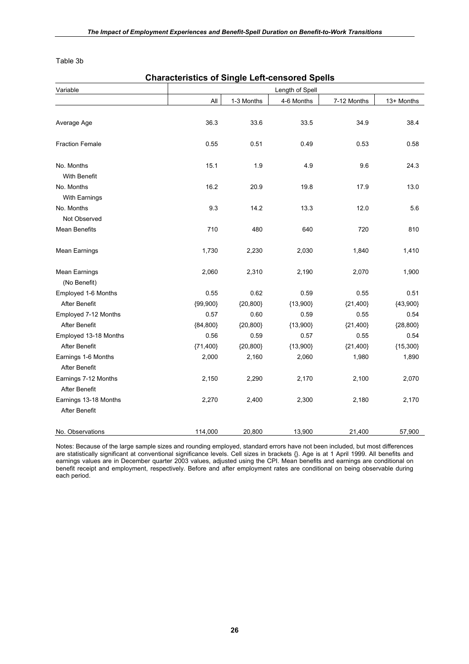Table 3b

|                                              |            | <b>Characteristics of Single Left-censored Spells</b> |                 |             |            |  |  |  |  |  |
|----------------------------------------------|------------|-------------------------------------------------------|-----------------|-------------|------------|--|--|--|--|--|
| Variable                                     |            |                                                       | Length of Spell |             |            |  |  |  |  |  |
|                                              | All        | 1-3 Months                                            | 4-6 Months      | 7-12 Months | 13+ Months |  |  |  |  |  |
|                                              |            |                                                       |                 |             |            |  |  |  |  |  |
| Average Age                                  | 36.3       | 33.6                                                  | 33.5            | 34.9        | 38.4       |  |  |  |  |  |
| <b>Fraction Female</b>                       | 0.55       | 0.51                                                  | 0.49            | 0.53        | 0.58       |  |  |  |  |  |
| No. Months                                   | 15.1       | 1.9                                                   | 4.9             | 9.6         | 24.3       |  |  |  |  |  |
| With Benefit                                 |            |                                                       |                 |             |            |  |  |  |  |  |
| No. Months                                   | 16.2       | 20.9                                                  | 19.8            | 17.9        | 13.0       |  |  |  |  |  |
| With Earnings                                |            |                                                       |                 |             |            |  |  |  |  |  |
| No. Months                                   | 9.3        | 14.2                                                  | 13.3            | 12.0        | 5.6        |  |  |  |  |  |
| Not Observed                                 |            |                                                       |                 |             |            |  |  |  |  |  |
| <b>Mean Benefits</b>                         | 710        | 480                                                   | 640             | 720         | 810        |  |  |  |  |  |
| <b>Mean Earnings</b>                         | 1,730      | 2,230                                                 | 2,030           | 1,840       | 1,410      |  |  |  |  |  |
| <b>Mean Earnings</b>                         | 2,060      | 2,310                                                 | 2,190           | 2,070       | 1,900      |  |  |  |  |  |
| (No Benefit)                                 |            |                                                       |                 |             |            |  |  |  |  |  |
| Employed 1-6 Months                          | 0.55       | 0.62                                                  | 0.59            | 0.55        | 0.51       |  |  |  |  |  |
| After Benefit                                | ${99,900}$ | ${20,800}$                                            | ${13,900}$      | ${21,400}$  | ${43,900}$ |  |  |  |  |  |
| Employed 7-12 Months                         | 0.57       | 0.60                                                  | 0.59            | 0.55        | 0.54       |  |  |  |  |  |
| After Benefit                                | ${84,800}$ | ${20,800}$                                            | ${13,900}$      | ${21,400}$  | ${28,800}$ |  |  |  |  |  |
| Employed 13-18 Months                        | 0.56       | 0.59                                                  | 0.57            | 0.55        | 0.54       |  |  |  |  |  |
| After Benefit                                | ${71,400}$ | ${20,800}$                                            | ${13,900}$      | ${21,400}$  | ${15,300}$ |  |  |  |  |  |
| Earnings 1-6 Months                          | 2,000      | 2,160                                                 | 2,060           | 1,980       | 1,890      |  |  |  |  |  |
| After Benefit                                |            |                                                       |                 |             |            |  |  |  |  |  |
| Earnings 7-12 Months<br><b>After Benefit</b> | 2,150      | 2,290                                                 | 2,170           | 2,100       | 2,070      |  |  |  |  |  |
| Earnings 13-18 Months<br>After Benefit       | 2,270      | 2,400                                                 | 2,300           | 2,180       | 2,170      |  |  |  |  |  |
| No. Observations                             | 114,000    | 20,800                                                | 13,900          | 21,400      | 57,900     |  |  |  |  |  |

Notes: Because of the large sample sizes and rounding employed, standard errors have not been included, but most differences are statistically significant at conventional significance levels. Cell sizes in brackets {}. Age is at 1 April 1999. All benefits and earnings values are in December quarter 2003 values, adjusted using the CPI. Mean benefits and earnings are conditional on benefit receipt and employment, respectively. Before and after employment rates are conditional on being observable during each period.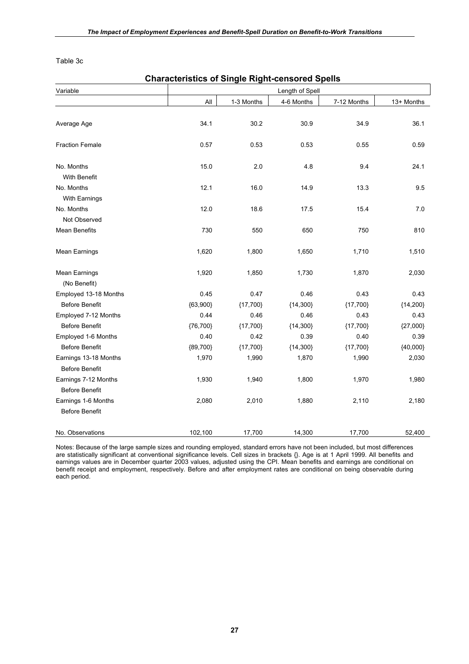Table 3c

|                                        | <b>Characteristics of Single Right-censored Spells</b> |            |                 |             |            |
|----------------------------------------|--------------------------------------------------------|------------|-----------------|-------------|------------|
| Variable                               |                                                        |            | Length of Spell |             |            |
|                                        | All                                                    | 1-3 Months | 4-6 Months      | 7-12 Months | 13+ Months |
|                                        |                                                        |            |                 |             |            |
| Average Age                            | 34.1                                                   | 30.2       | 30.9            | 34.9        | 36.1       |
| <b>Fraction Female</b>                 | 0.57                                                   | 0.53       | 0.53            | 0.55        | 0.59       |
| No. Months                             | 15.0                                                   | 2.0        | 4.8             | 9.4         | 24.1       |
| With Benefit                           |                                                        |            |                 |             |            |
| No. Months                             | 12.1                                                   | 16.0       | 14.9            | 13.3        | 9.5        |
| With Earnings                          |                                                        |            |                 |             |            |
| No. Months                             | 12.0                                                   | 18.6       | 17.5            | 15.4        | 7.0        |
| Not Observed                           |                                                        |            |                 |             |            |
| <b>Mean Benefits</b>                   | 730                                                    | 550        | 650             | 750         | 810        |
| Mean Earnings                          | 1,620                                                  | 1,800      | 1,650           | 1,710       | 1,510      |
| <b>Mean Earnings</b>                   | 1,920                                                  | 1,850      | 1,730           | 1,870       | 2,030      |
| (No Benefit)                           |                                                        |            |                 |             |            |
| Employed 13-18 Months                  | 0.45                                                   | 0.47       | 0.46            | 0.43        | 0.43       |
| <b>Before Benefit</b>                  | ${63,900}$                                             | ${17,700}$ | ${14,300}$      | ${17,700}$  | ${14,200}$ |
| Employed 7-12 Months                   | 0.44                                                   | 0.46       | 0.46            | 0.43        | 0.43       |
| <b>Before Benefit</b>                  | ${76,700}$                                             | ${17,700}$ | ${14,300}$      | ${17,700}$  | ${27,000}$ |
| Employed 1-6 Months                    | 0.40                                                   | 0.42       | 0.39            | 0.40        | 0.39       |
| Before Benefit                         | ${89,700}$                                             | ${17,700}$ | ${14,300}$      | ${17,700}$  | ${40,000}$ |
| Earnings 13-18 Months                  | 1,970                                                  | 1,990      | 1,870           | 1,990       | 2,030      |
| <b>Before Benefit</b>                  |                                                        |            |                 |             |            |
| Earnings 7-12 Months<br>Before Benefit | 1,930                                                  | 1,940      | 1,800           | 1,970       | 1,980      |
| Earnings 1-6 Months                    | 2,080                                                  | 2,010      | 1,880           | 2,110       | 2,180      |
| <b>Before Benefit</b>                  |                                                        |            |                 |             |            |
| No. Observations                       | 102,100                                                | 17,700     | 14,300          | 17,700      | 52,400     |

Notes: Because of the large sample sizes and rounding employed, standard errors have not been included, but most differences are statistically significant at conventional significance levels. Cell sizes in brackets {}. Age is at 1 April 1999. All benefits and earnings values are in December quarter 2003 values, adjusted using the CPI. Mean benefits and earnings are conditional on benefit receipt and employment, respectively. Before and after employment rates are conditional on being observable during each period.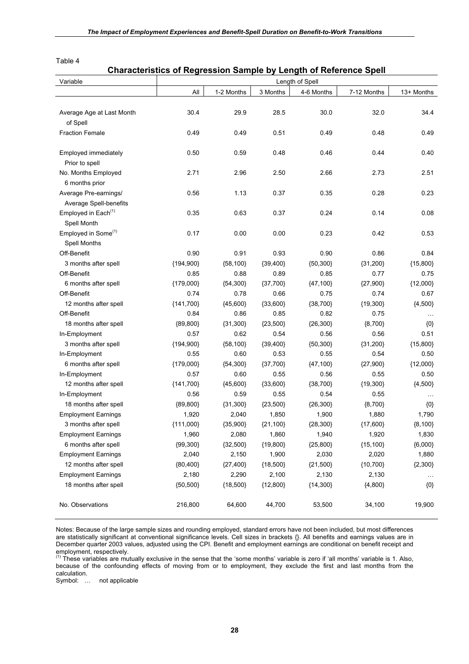### **Characteristics of Regression Sample by Length of Reference Spell**

| Variable                        |             |            |            | Length of Spell |             |               |
|---------------------------------|-------------|------------|------------|-----------------|-------------|---------------|
|                                 | All         | 1-2 Months | 3 Months   | 4-6 Months      | 7-12 Months | 13+ Months    |
|                                 |             |            |            |                 |             |               |
| Average Age at Last Month       | 30.4        | 29.9       | 28.5       | 30.0            | 32.0        | 34.4          |
| of Spell                        |             |            |            |                 |             |               |
| <b>Fraction Female</b>          | 0.49        | 0.49       | 0.51       | 0.49            | 0.48        | 0.49          |
|                                 |             |            |            |                 |             |               |
| Employed immediately            | 0.50        | 0.59       | 0.48       | 0.46            | 0.44        | 0.40          |
| Prior to spell                  |             |            |            |                 |             |               |
| No. Months Employed             | 2.71        | 2.96       | 2.50       | 2.66            | 2.73        | 2.51          |
| 6 months prior                  |             |            |            |                 |             |               |
| Average Pre-earnings/           | 0.56        | 1.13       | 0.37       | 0.35            | 0.28        | 0.23          |
| Average Spell-benefits          |             |            |            |                 |             |               |
| Employed in Each <sup>(1)</sup> | 0.35        | 0.63       | 0.37       | 0.24            | 0.14        | 0.08          |
| Spell Month                     |             |            |            |                 |             |               |
| Employed in Some <sup>(1)</sup> | 0.17        | 0.00       | 0.00       | 0.23            | 0.42        | 0.53          |
| <b>Spell Months</b>             |             |            |            |                 |             |               |
| Off-Benefit                     | 0.90        | 0.91       | 0.93       | 0.90            | 0.86        | 0.84          |
| 3 months after spell            | ${194,900}$ | ${58,100}$ | ${39,400}$ | ${50,300}$      | ${31,200}$  | ${15,800}$    |
| Off-Benefit                     | 0.85        | 0.88       | 0.89       | 0.85            | 0.77        | 0.75          |
| 6 months after spell            | ${179,000}$ | ${54,300}$ | ${37,700}$ | ${47,100}$      | ${27,900}$  | ${12,000}$    |
| Off-Benefit                     | 0.74        | 0.78       | 0.66       | 0.75            | 0.74        | 0.67          |
| 12 months after spell           | ${141,700}$ | ${45,600}$ | ${33,600}$ | ${38,700}$      | ${19,300}$  | ${4,500}$     |
| Off-Benefit                     | 0.84        | 0.86       | 0.85       | 0.82            | 0.75        | $\sim$ $\sim$ |
| 18 months after spell           | ${89,800}$  | ${31,300}$ | ${23,500}$ | ${26,300}$      | ${8,700}$   | $\{0\}$       |
| In-Employment                   | 0.57        | 0.62       | 0.54       | 0.56            | 0.56        | 0.51          |
| 3 months after spell            | ${194,900}$ | ${58,100}$ | ${39,400}$ | ${50,300}$      | ${31,200}$  | ${15,800}$    |
| In-Employment                   | 0.55        | 0.60       | 0.53       | 0.55            | 0.54        | 0.50          |
| 6 months after spell            | ${179,000}$ | ${54,300}$ | ${37,700}$ | ${47,100}$      | ${27,900}$  | ${12,000}$    |
| In-Employment                   | 0.57        | 0.60       | 0.55       | 0.56            | 0.55        | 0.50          |
| 12 months after spell           | ${141,700}$ | ${45,600}$ | ${33,600}$ | ${38,700}$      | ${19,300}$  | ${4,500}$     |
| In-Employment                   | 0.56        | 0.59       | 0.55       | 0.54            | 0.55        |               |
| 18 months after spell           | ${89,800}$  | ${31,300}$ | ${23,500}$ | ${26,300}$      | ${8,700}$   | $\{0\}$       |
| <b>Employment Earnings</b>      | 1,920       | 2,040      | 1,850      | 1,900           | 1,880       | 1,790         |
| 3 months after spell            | ${111,000}$ | ${35,900}$ | ${21,100}$ | ${28,300}$      | ${17,600}$  | ${8,100}$     |
| <b>Employment Earnings</b>      | 1,960       | 2,080      | 1,860      | 1,940           | 1,920       | 1,830         |
| 6 months after spell            | ${99,300}$  | ${32,500}$ | ${19,800}$ | ${25,800}$      | ${15,100}$  | ${6,000}$     |
| <b>Employment Earnings</b>      | 2,040       | 2,150      | 1,900      | 2,030           | 2,020       | 1,880         |
| 12 months after spell           | ${80,400}$  | ${27,400}$ | ${18,500}$ | ${21,500}$      | ${10,700}$  | ${2,300}$     |
| <b>Employment Earnings</b>      | 2,180       | 2,290      | 2,100      | 2,130           | 2,130       |               |
| 18 months after spell           | ${50,500}$  | ${18,500}$ | ${12,800}$ | ${14,300}$      | ${4,800}$   | $\{0\}$       |
| No. Observations                | 216,800     | 64,600     | 44,700     | 53,500          | 34,100      | 19,900        |

Notes: Because of the large sample sizes and rounding employed, standard errors have not been included, but most differences are statistically significant at conventional significance levels. Cell sizes in brackets {}. All benefits and earnings values are in December quarter 2003 values, adjusted using the CPI. Benefit and employment earnings are conditional on benefit receipt and

employment, respectively.<br><sup>(1)</sup> These variables are mutually exclusive in the sense that the 'some months' variable is zero if 'all months' variable is 1. Also, because of the confounding effects of moving from or to employment, they exclude the first and last months from the calculation.

Symbol: … not applicable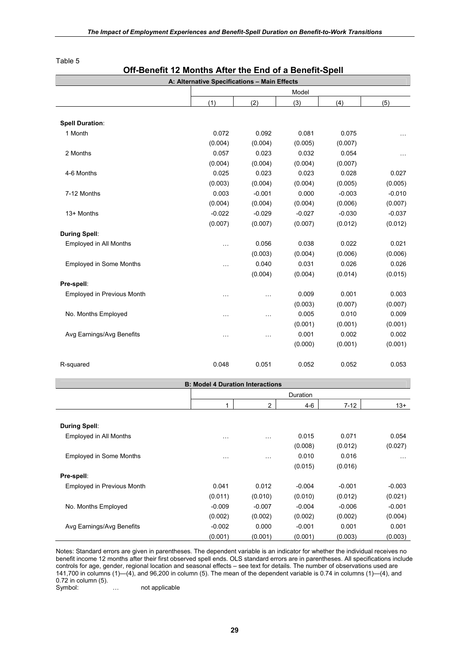|                                | A: Alternative Specifications - Main Effects |           |          |          |          |
|--------------------------------|----------------------------------------------|-----------|----------|----------|----------|
|                                |                                              |           | Model    |          |          |
|                                | (1)                                          | (2)       | (3)      | (4)      | (5)      |
|                                |                                              |           |          |          |          |
| <b>Spell Duration:</b>         |                                              |           |          |          |          |
| 1 Month                        | 0.072                                        | 0.092     | 0.081    | 0.075    |          |
|                                | (0.004)                                      | (0.004)   | (0.005)  | (0.007)  |          |
| 2 Months                       | 0.057                                        | 0.023     | 0.032    | 0.054    | .        |
|                                | (0.004)                                      | (0.004)   | (0.004)  | (0.007)  |          |
| 4-6 Months                     | 0.025                                        | 0.023     | 0.023    | 0.028    | 0.027    |
|                                | (0.003)                                      | (0.004)   | (0.004)  | (0.005)  | (0.005)  |
| 7-12 Months                    | 0.003                                        | $-0.001$  | 0.000    | $-0.003$ | $-0.010$ |
|                                | (0.004)                                      | (0.004)   | (0.004)  | (0.006)  | (0.007)  |
| 13+ Months                     | $-0.022$                                     | $-0.029$  | $-0.027$ | $-0.030$ | $-0.037$ |
|                                | (0.007)                                      | (0.007)   | (0.007)  | (0.012)  | (0.012)  |
| <b>During Spell:</b>           |                                              |           |          |          |          |
| Employed in All Months         | $\ddotsc$                                    | 0.056     | 0.038    | 0.022    | 0.021    |
|                                |                                              | (0.003)   | (0.004)  | (0.006)  | (0.006)  |
| <b>Employed in Some Months</b> | $\ddotsc$                                    | 0.040     | 0.031    | 0.026    | 0.026    |
|                                |                                              | (0.004)   | (0.004)  | (0.014)  | (0.015)  |
| Pre-spell:                     |                                              |           |          |          |          |
| Employed in Previous Month     | $\ldots$                                     | $\cdots$  | 0.009    | 0.001    | 0.003    |
|                                |                                              |           | (0.003)  | (0.007)  | (0.007)  |
| No. Months Employed            | $\ddotsc$                                    | $\ddotsc$ | 0.005    | 0.010    | 0.009    |
|                                |                                              |           | (0.001)  | (0.001)  | (0.001)  |
| Avg Earnings/Avg Benefits      | $\cdots$                                     | $\ddotsc$ | 0.001    | 0.002    | 0.002    |
|                                |                                              |           | (0.000)  | (0.001)  | (0.001)  |
|                                |                                              |           |          |          |          |
| R-squared                      | 0.048                                        | 0.051     | 0.052    | 0.052    | 0.053    |
|                                |                                              |           |          |          |          |

### **Off-Benefit 12 Months After the End of a Benefit-Spell**

|                                   | <b>B: Model 4 Duration Interactions</b> |                |          |          |          |
|-----------------------------------|-----------------------------------------|----------------|----------|----------|----------|
|                                   |                                         |                | Duration |          |          |
|                                   | 1                                       | $\overline{2}$ | $4-6$    | $7-12$   | $13+$    |
|                                   |                                         |                |          |          |          |
| <b>During Spell:</b>              |                                         |                |          |          |          |
| Employed in All Months            | $\cdots$                                | $\cdots$       | 0.015    | 0.071    | 0.054    |
|                                   |                                         |                | (0.008)  | (0.012)  | (0.027)  |
| <b>Employed in Some Months</b>    | $\cdots$                                | $\cdots$       | 0.010    | 0.016    | $\cdots$ |
|                                   |                                         |                | (0.015)  | (0.016)  |          |
| Pre-spell:                        |                                         |                |          |          |          |
| <b>Employed in Previous Month</b> | 0.041                                   | 0.012          | $-0.004$ | $-0.001$ | $-0.003$ |
|                                   | (0.011)                                 | (0.010)        | (0.010)  | (0.012)  | (0.021)  |
| No. Months Employed               | $-0.009$                                | $-0.007$       | $-0.004$ | $-0.006$ | $-0.001$ |
|                                   | (0.002)                                 | (0.002)        | (0.002)  | (0.002)  | (0.004)  |
| Avg Earnings/Avg Benefits         | $-0.002$                                | 0.000          | $-0.001$ | 0.001    | 0.001    |
|                                   | (0.001)                                 | (0.001)        | (0.001)  | (0.003)  | (0.003)  |

Notes: Standard errors are given in parentheses. The dependent variable is an indicator for whether the individual receives no benefit income 12 months after their first observed spell ends. OLS standard errors are in parentheses. All specifications include controls for age, gender, regional location and seasonal effects – see text for details. The number of observations used are 141,700 in columns (1)—(4), and 96,200 in column (5). The mean of the dependent variable is 0.74 in columns (1)—(4), and 0.72 in column (5).

Symbol: ... not applicable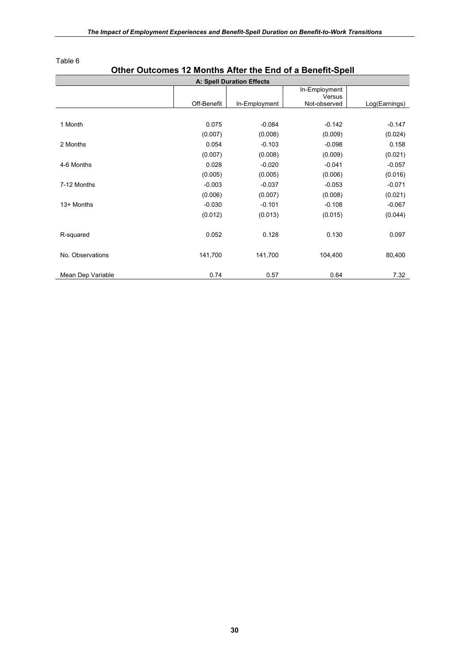|                   |             | <b>A: Spell Duration Effects</b> |                        |               |
|-------------------|-------------|----------------------------------|------------------------|---------------|
|                   |             |                                  | In-Employment          |               |
|                   | Off-Benefit | In-Employment                    | Versus<br>Not-observed | Log(Earnings) |
|                   |             |                                  |                        |               |
| 1 Month           | 0.075       | $-0.084$                         | $-0.142$               | $-0.147$      |
|                   | (0.007)     | (0.008)                          | (0.009)                | (0.024)       |
| 2 Months          | 0.054       | $-0.103$                         | $-0.098$               | 0.158         |
|                   | (0.007)     | (0.008)                          | (0.009)                | (0.021)       |
| 4-6 Months        | 0.028       | $-0.020$                         | $-0.041$               | $-0.057$      |
|                   | (0.005)     | (0.005)                          | (0.006)                | (0.016)       |
| 7-12 Months       | $-0.003$    | $-0.037$                         | $-0.053$               | $-0.071$      |
|                   | (0.006)     | (0.007)                          | (0.008)                | (0.021)       |
| 13+ Months        | $-0.030$    | $-0.101$                         | $-0.108$               | $-0.067$      |
|                   | (0.012)     | (0.013)                          | (0.015)                | (0.044)       |
|                   |             |                                  |                        |               |
| R-squared         | 0.052       | 0.128                            | 0.130                  | 0.097         |
|                   |             |                                  |                        |               |
| No. Observations  | 141,700     | 141,700                          | 104,400                | 80,400        |
|                   |             |                                  |                        |               |
| Mean Dep Variable | 0.74        | 0.57                             | 0.64                   | 7.32          |

# **Other Outcomes 12 Months After the End of a Benefit-Spell**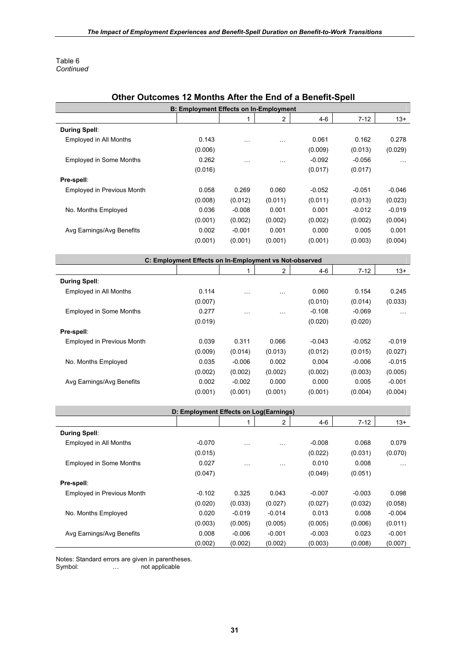Table 6 *Continued*

| <b>UULUUIIIGS</b>                                      | <b>B: Employment Effects on In-Employment</b> | IZ MORRIS ARCI THE FIRE OF A DEFIGIR-OPEN |                |          |          |           |  |  |
|--------------------------------------------------------|-----------------------------------------------|-------------------------------------------|----------------|----------|----------|-----------|--|--|
|                                                        |                                               | $\mathbf{1}$                              | $\overline{2}$ | $4 - 6$  | $7 - 12$ | $13+$     |  |  |
| <b>During Spell:</b>                                   |                                               |                                           |                |          |          |           |  |  |
| Employed in All Months                                 | 0.143                                         | $\ddotsc$                                 | .              | 0.061    | 0.162    | 0.278     |  |  |
|                                                        | (0.006)                                       |                                           |                | (0.009)  | (0.013)  | (0.029)   |  |  |
| <b>Employed in Some Months</b>                         | 0.262                                         | $\ddotsc$                                 | $\cdots$       | $-0.092$ | $-0.056$ | $\ddotsc$ |  |  |
|                                                        | (0.016)                                       |                                           |                | (0.017)  | (0.017)  |           |  |  |
| Pre-spell:                                             |                                               |                                           |                |          |          |           |  |  |
| Employed in Previous Month                             | 0.058                                         | 0.269                                     | 0.060          | $-0.052$ | $-0.051$ | $-0.046$  |  |  |
|                                                        | (0.008)                                       | (0.012)                                   | (0.011)        | (0.011)  | (0.013)  | (0.023)   |  |  |
| No. Months Employed                                    | 0.036                                         | $-0.008$                                  | 0.001          | 0.001    | $-0.012$ | $-0.019$  |  |  |
|                                                        | (0.001)                                       | (0.002)                                   | (0.002)        | (0.002)  | (0.002)  | (0.004)   |  |  |
| Avg Earnings/Avg Benefits                              | 0.002                                         | $-0.001$                                  | 0.001          | 0.000    | 0.005    | 0.001     |  |  |
|                                                        | (0.001)                                       | (0.001)                                   | (0.001)        | (0.001)  | (0.003)  | (0.004)   |  |  |
|                                                        |                                               |                                           |                |          |          |           |  |  |
| C: Employment Effects on In-Employment vs Not-observed |                                               |                                           |                |          |          |           |  |  |
|                                                        |                                               | 1                                         | $\overline{c}$ | $4 - 6$  | $7 - 12$ | $13+$     |  |  |
|                                                        |                                               |                                           |                |          |          |           |  |  |
| <b>During Spell:</b>                                   |                                               |                                           |                |          |          |           |  |  |
| Employed in All Months                                 | 0.114                                         | $\ddotsc$                                 | $\ddotsc$      | 0.060    | 0.154    | 0.245     |  |  |
|                                                        | (0.007)                                       |                                           |                | (0.010)  | (0.014)  | (0.033)   |  |  |
| <b>Employed in Some Months</b>                         | 0.277                                         | $\ddotsc$                                 | .              | $-0.108$ | $-0.069$ | $\ldots$  |  |  |
|                                                        | (0.019)                                       |                                           |                | (0.020)  | (0.020)  |           |  |  |
| Pre-spell:                                             |                                               |                                           |                |          |          |           |  |  |
| Employed in Previous Month                             | 0.039                                         | 0.311                                     | 0.066          | $-0.043$ | $-0.052$ | $-0.019$  |  |  |
|                                                        | (0.009)                                       | (0.014)                                   | (0.013)        | (0.012)  | (0.015)  | (0.027)   |  |  |
| No. Months Employed                                    | 0.035                                         | $-0.006$                                  | 0.002          | 0.004    | $-0.006$ | $-0.015$  |  |  |
|                                                        | (0.002)                                       | (0.002)                                   | (0.002)        | (0.002)  | (0.003)  | (0.005)   |  |  |
| Avg Earnings/Avg Benefits                              | 0.002                                         | $-0.002$                                  | 0.000          | 0.000    | 0.005    | $-0.001$  |  |  |
|                                                        | (0.001)                                       | (0.001)                                   | (0.001)        | (0.001)  | (0.004)  | (0.004)   |  |  |
|                                                        |                                               |                                           |                |          |          |           |  |  |
|                                                        | D: Employment Effects on Log(Earnings)        | 1                                         | $\overline{2}$ | $4 - 6$  | $7 - 12$ | $13+$     |  |  |

#### **Other Outcomes 12 Months After the End of a Benefit-Spell**

**During Spell**: Employed in All Months -0.070 … … -0.008 0.068 0.079  $(0.015)$   $(0.022)$   $(0.031)$   $(0.070)$  Employed in Some Months 0.027 … … 0.010 0.008 …  $(0.047)$   $(0.049)$   $(0.051)$ **Pre-spell**: Employed in Previous Month  $-0.102$  0.325 0.043  $-0.007$   $-0.003$  0.098 (0.020) (0.033) (0.027) (0.027) (0.032) (0.058) No. Months Employed 0.020 -0.019 -0.014 0.013 0.008 -0.004 (0.003) (0.005) (0.005) (0.005) (0.006) (0.011) Avg Earnings/Avg Benefits  $0.008$   $-0.006$   $-0.001$   $-0.003$   $0.023$   $-0.001$ (0.002) (0.002) (0.002) (0.003) (0.008) (0.007)

Notes: Standard errors are given in parentheses.<br>Symbol: ... not applicable

... not applicable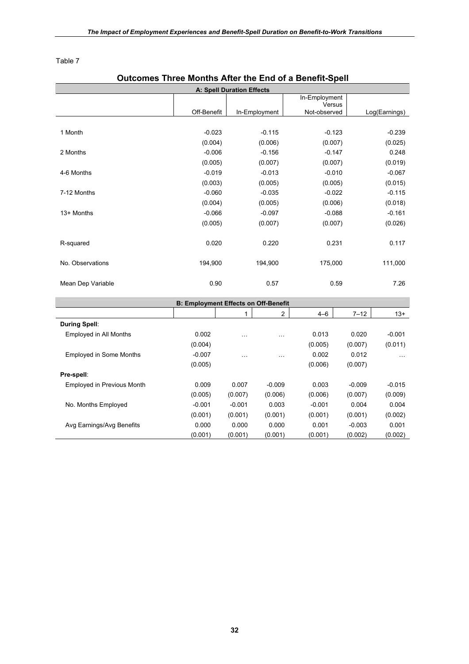# **Outcomes Three Months After the End of a Benefit-Spell A: Spell Duration Effects**  Off-Benefit In-Employment In-Employment Versus Not-observed Log(Earnings) 1 Month 10 -0.023 -0.115 -0.123 -0.239  $(0.004)$   $(0.006)$   $(0.007)$   $(0.025)$ 2 Months -0.006 -0.156 -0.147 0.248  $(0.005)$   $(0.007)$   $(0.007)$   $(0.007)$   $(0.019)$ 4-6 Months -0.010 -0.019 -0.013 -0.010 -0.067  $(0.003)$   $(0.005)$   $(0.005)$   $(0.015)$ 7-12 Months -0.060 -0.035 -0.022 -0.115  $(0.004)$   $(0.005)$   $(0.006)$   $(0.018)$ 13+ Months -0.066 -0.066 -0.067 -0.088 -0.161  $(0.005)$   $(0.007)$   $(0.007)$   $(0.007)$   $(0.026)$ R-squared **0.020** 0.020 0.220 0.231 0.117 No. Observations 194,900 194,900 194,900 175,000 111,000 Mean Dep Variable 120 0.90 0.57 0.59 0.59 7.26

|                                   | <b>B: Employment Effects on Off-Benefit</b> |          |          |          |          |          |
|-----------------------------------|---------------------------------------------|----------|----------|----------|----------|----------|
|                                   |                                             |          | 2        | $4 - 6$  | $7 - 12$ | $13+$    |
| During Spell:                     |                                             |          |          |          |          |          |
| Employed in All Months            | 0.002                                       | $\cdots$ | $\cdots$ | 0.013    | 0.020    | $-0.001$ |
|                                   | (0.004)                                     |          |          | (0.005)  | (0.007)  | (0.011)  |
| <b>Employed in Some Months</b>    | $-0.007$                                    | $\cdots$ | $\cdots$ | 0.002    | 0.012    | $\cdots$ |
|                                   | (0.005)                                     |          |          | (0.006)  | (0.007)  |          |
| Pre-spell:                        |                                             |          |          |          |          |          |
| <b>Employed in Previous Month</b> | 0.009                                       | 0.007    | $-0.009$ | 0.003    | $-0.009$ | $-0.015$ |
|                                   | (0.005)                                     | (0.007)  | (0.006)  | (0.006)  | (0.007)  | (0.009)  |
| No. Months Employed               | $-0.001$                                    | $-0.001$ | 0.003    | $-0.001$ | 0.004    | 0.004    |
|                                   | (0.001)                                     | (0.001)  | (0.001)  | (0.001)  | (0.001)  | (0.002)  |
| Avg Earnings/Avg Benefits         | 0.000                                       | 0.000    | 0.000    | 0.001    | $-0.003$ | 0.001    |
|                                   | (0.001)                                     | (0.001)  | (0.001)  | (0.001)  | (0.002)  | (0.002)  |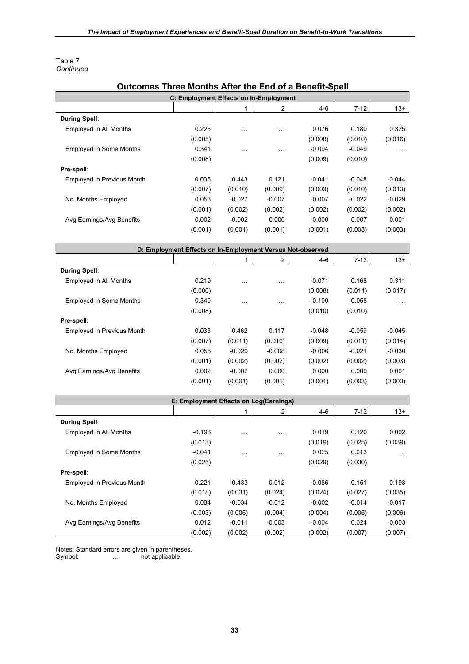#### Table 7 *Continued*

| Outcomes Three Months After the End of a Benefit-Spell     |                                        |           |                |          |          |          |  |  |  |
|------------------------------------------------------------|----------------------------------------|-----------|----------------|----------|----------|----------|--|--|--|
|                                                            | C: Employment Effects on In-Employment |           |                |          |          |          |  |  |  |
|                                                            |                                        | 1         | $\overline{c}$ | $4 - 6$  | $7 - 12$ | $13+$    |  |  |  |
| <b>During Spell:</b>                                       |                                        |           |                |          |          |          |  |  |  |
| Employed in All Months                                     | 0.225                                  | $\cdots$  | $\cdots$       | 0.076    | 0.180    | 0.325    |  |  |  |
|                                                            | (0.005)                                |           |                | (0.008)  | (0.010)  | (0.016)  |  |  |  |
| <b>Employed in Some Months</b>                             | 0.341                                  | .         | $\cdots$       | $-0.094$ | $-0.049$ |          |  |  |  |
|                                                            | (0.008)                                |           |                | (0.009)  | (0.010)  |          |  |  |  |
| Pre-spell:                                                 |                                        |           |                |          |          |          |  |  |  |
| Employed in Previous Month                                 | 0.035                                  | 0.443     | 0.121          | $-0.041$ | $-0.048$ | $-0.044$ |  |  |  |
|                                                            | (0.007)                                | (0.010)   | (0.009)        | (0.009)  | (0.010)  | (0.013)  |  |  |  |
| No. Months Employed                                        | 0.053                                  | $-0.027$  | $-0.007$       | $-0.007$ | $-0.022$ | $-0.029$ |  |  |  |
|                                                            | (0.001)                                | (0.002)   | (0.002)        | (0.002)  | (0.002)  | (0.002)  |  |  |  |
| Avg Earnings/Avg Benefits                                  | 0.002                                  | $-0.002$  | 0.000          | 0.000    | 0.007    | 0.001    |  |  |  |
|                                                            | (0.001)                                | (0.001)   | (0.001)        | (0.001)  | (0.003)  | (0.003)  |  |  |  |
|                                                            |                                        |           |                |          |          |          |  |  |  |
| D: Employment Effects on In-Employment Versus Not-observed |                                        |           |                |          |          |          |  |  |  |
|                                                            |                                        | 1         | $\overline{2}$ | 4-6      | $7 - 12$ | $13+$    |  |  |  |
| <b>During Spell:</b>                                       |                                        |           |                |          |          |          |  |  |  |
| Employed in All Months                                     | 0.219                                  | $\ddotsc$ | $\cdots$       | 0.071    | 0.168    | 0.311    |  |  |  |
|                                                            | (0.006)                                |           |                | (0.008)  | (0.011)  | (0.017)  |  |  |  |
| <b>Employed in Some Months</b>                             | 0.349                                  |           |                | $-0.100$ | $-0.058$ |          |  |  |  |
|                                                            | (0.008)                                | $\ddotsc$ | $\cdots$       | (0.010)  | (0.010)  | $\cdots$ |  |  |  |
| Pre-spell:                                                 |                                        |           |                |          |          |          |  |  |  |
| Employed in Previous Month                                 | 0.033                                  | 0.462     | 0.117          | $-0.048$ | $-0.059$ | $-0.045$ |  |  |  |
|                                                            |                                        |           |                |          |          |          |  |  |  |
|                                                            | (0.007)                                | (0.011)   | (0.010)        | (0.009)  | (0.011)  | (0.014)  |  |  |  |
| No. Months Employed                                        | 0.055                                  | $-0.029$  | $-0.008$       | $-0.006$ | $-0.021$ | $-0.030$ |  |  |  |
|                                                            | (0.001)                                | (0.002)   | (0.002)        | (0.002)  | (0.002)  | (0.003)  |  |  |  |
| Avg Earnings/Avg Benefits                                  | 0.002                                  | $-0.002$  | 0.000          | 0.000    | 0.009    | 0.001    |  |  |  |
|                                                            | (0.001)                                | (0.001)   | (0.001)        | (0.001)  | (0.003)  | (0.003)  |  |  |  |
|                                                            |                                        |           |                |          |          |          |  |  |  |
|                                                            | E: Employment Effects on Log(Earnings) |           |                |          |          |          |  |  |  |
|                                                            |                                        | 1         | $\overline{2}$ | $4 - 6$  | $7 - 12$ | $13+$    |  |  |  |
| <b>During Spell:</b>                                       |                                        |           |                |          |          |          |  |  |  |
| Employed in All Months                                     | $-0.193$                               | .         | $\cdots$       | 0.019    | 0.120    | 0.092    |  |  |  |
|                                                            | (0.013)                                |           |                | (0.019)  | (0.025)  | (0.039)  |  |  |  |
| <b>Employed in Some Months</b>                             | $-0.041$                               |           |                | 0.025    | 0.013    |          |  |  |  |
|                                                            | (0.025)                                |           |                | (0.029)  | (0.030)  |          |  |  |  |
| Pre-spell:                                                 |                                        |           |                |          |          |          |  |  |  |
| Employed in Previous Month                                 | $-0.221$                               | 0.433     | 0.012          | 0.086    | 0.151    | 0.193    |  |  |  |
|                                                            | (0.018)                                | (0.031)   | (0.024)        | (0.024)  | (0.027)  | (0.035)  |  |  |  |
| No. Months Employed                                        | 0.034                                  | $-0.034$  | $-0.012$       | $-0.002$ | $-0.014$ | $-0.017$ |  |  |  |
|                                                            | (0.003)                                | (0.005)   | (0.004)        | (0.004)  | (0.005)  | (0.006)  |  |  |  |
| Avg Earnings/Avg Benefits                                  | 0.012                                  | $-0.011$  | $-0.003$       | $-0.004$ | 0.024    | $-0.003$ |  |  |  |
|                                                            | (0.002)                                | (0.002)   | (0.002)        | (0.002)  | (0.007)  | (0.007)  |  |  |  |

#### **Outcomes Three Months After the End of a Benefit-Spell**

Notes: Standard errors are given in parentheses.

Symbol: … not applicable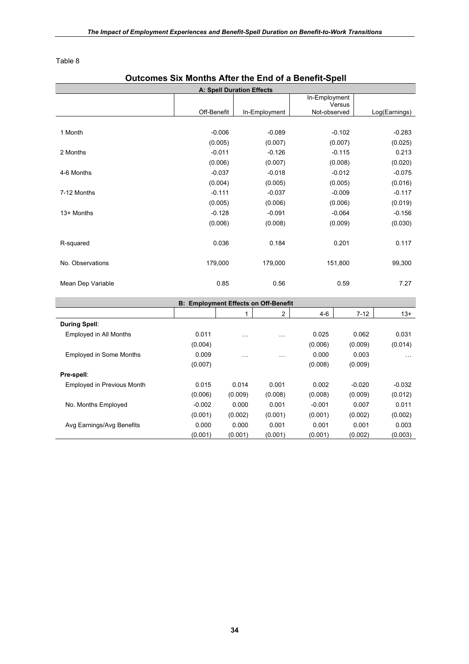# **Outcomes Six Months After the End of a Benefit-Spell A: Spell Duration Effects**  Off-Benefit | In-Employment In-Employment Versus<br>Not-observed Log(Earnings) 1 Month 10 -0.006 -0.006 -0.089 -0.102 -0.283  $(0.005)$   $(0.007)$   $(0.007)$   $(0.007)$   $(0.025)$ 2 Months -0.011 -0.126 -0.115 0.213  $(0.006)$   $(0.007)$   $(0.008)$   $(0.020)$ 4-6 Months -0.037 -0.018 -0.012 -0.075  $(0.004)$   $(0.005)$   $(0.005)$   $(0.016)$ 7-12 Months -0.117 -0.037 -0.009 -0.117 -0.037 -0.009 -0.117  $(0.005)$   $(0.006)$   $(0.006)$   $(0.019)$ 13+ Months -0.128 -0.091 -0.064 -0.126  $(0.006)$   $(0.008)$   $(0.009)$   $(0.030)$ R-squared 6.117 **Contract Contract Contract Contract Contract Contract Contract Contract Contract Contract Contract Contract Contract Contract Contract Contract Contract Contract Contract Contract Contract Contract Contrac** No. Observations 179,000 179,000 151,800 99,300 Mean Dep Variable 0.85 0.56 0.59 7.27 **B: Employment Effects on Off-Benefit**   $\begin{vmatrix} 1 & 1 & 2 & 4-6 & 7-12 & 13+1 \end{vmatrix}$ **During Spell**: Employed in All Months 0.011 … … 0.025 0.062 0.031  $(0.004)$   $(0.006)$   $(0.009)$   $(0.014)$  Employed in Some Months 0.009 … … 0.000 0.003 …  $(0.007)$   $(0.008)$   $(0.009)$ **Pre-spell**:

 Employed in Previous Month 0.015 0.014 0.001 0.002 -0.020 -0.032 (0.006) (0.009) (0.008) (0.008) (0.009) (0.012) No. Months Employed -0.002 0.000 0.001 -0.001 0.007 0.011 (0.001) (0.002) (0.001) (0.001) (0.002) (0.002) Avg Earnings/Avg Benefits  $0.000$  0.000 0.001 0.001 0.001 0.003  $(0.001)$   $(0.001)$   $(0.001)$   $(0.001)$   $(0.001)$   $(0.002)$   $(0.003)$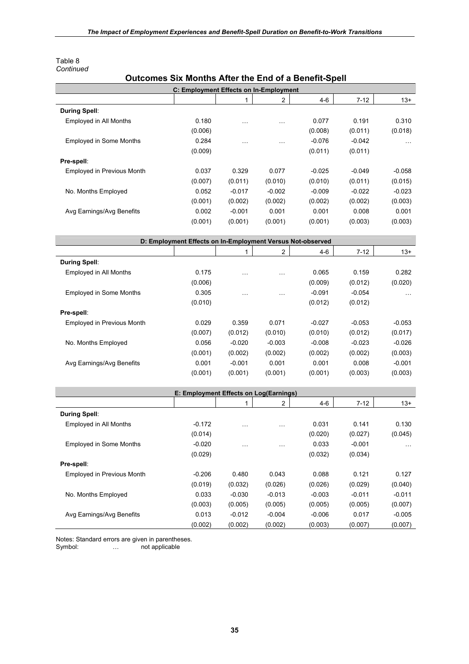| Table 8   |
|-----------|
| Continued |

# **Outcomes Six Months After the End of a Benefit-Spell**

|                                | C: Employment Effects on In-Employment                     |           |                |          |          |          |
|--------------------------------|------------------------------------------------------------|-----------|----------------|----------|----------|----------|
|                                |                                                            | 1         | 2              | $4 - 6$  | $7 - 12$ | $13+$    |
| <b>During Spell:</b>           |                                                            |           |                |          |          |          |
| Employed in All Months         | 0.180                                                      | $\ddotsc$ | $\ldots$       | 0.077    | 0.191    | 0.310    |
|                                | (0.006)                                                    |           |                | (0.008)  | (0.011)  | (0.018)  |
| <b>Employed in Some Months</b> | 0.284                                                      | $\ddotsc$ | $\ldots$       | $-0.076$ | $-0.042$ | .        |
|                                | (0.009)                                                    |           |                | (0.011)  | (0.011)  |          |
| Pre-spell:                     |                                                            |           |                |          |          |          |
| Employed in Previous Month     | 0.037                                                      | 0.329     | 0.077          | $-0.025$ | $-0.049$ | $-0.058$ |
|                                | (0.007)                                                    | (0.011)   | (0.010)        | (0.010)  | (0.011)  | (0.015)  |
| No. Months Employed            | 0.052                                                      | $-0.017$  | $-0.002$       | $-0.009$ | $-0.022$ | $-0.023$ |
|                                | (0.001)                                                    | (0.002)   | (0.002)        | (0.002)  | (0.002)  | (0.003)  |
| Avg Earnings/Avg Benefits      | 0.002                                                      | $-0.001$  | 0.001          | 0.001    | 0.008    | 0.001    |
|                                | (0.001)                                                    | (0.001)   | (0.001)        | (0.001)  | (0.003)  | (0.003)  |
|                                |                                                            |           |                |          |          |          |
|                                | D: Employment Effects on In-Employment Versus Not-observed |           |                |          |          |          |
|                                |                                                            | 1         | $\overline{c}$ | $4 - 6$  | $7 - 12$ | $13+$    |
| <b>During Spell:</b>           |                                                            |           |                |          |          |          |
| Employed in All Months         | 0.175                                                      | $\ddotsc$ | $\ldots$       | 0.065    | 0.159    | 0.282    |
|                                | (0.006)                                                    |           |                | (0.009)  | (0.012)  | (0.020)  |
| <b>Employed in Some Months</b> | 0.305                                                      | $\ddotsc$ | $\ddotsc$      | $-0.091$ | $-0.054$ | $\sim$   |
|                                | (0.010)                                                    |           |                | (0.012)  | (0.012)  |          |
| Pre-spell:                     |                                                            |           |                |          |          |          |
| Employed in Previous Month     | 0.029                                                      | 0.359     | 0.071          | $-0.027$ | $-0.053$ | $-0.053$ |
|                                | (0.007)                                                    | (0.012)   | (0.010)        | (0.010)  | (0.012)  | (0.017)  |
| No. Months Employed            | 0.056                                                      | $-0.020$  | $-0.003$       | $-0.008$ | $-0.023$ | $-0.026$ |
|                                | (0.001)                                                    | (0.002)   | (0.002)        | (0.002)  | (0.002)  | (0.003)  |
| Avg Earnings/Avg Benefits      | 0.001                                                      | $-0.001$  | 0.001          | 0.001    | 0.008    | $-0.001$ |
|                                | (0.001)                                                    | (0.001)   | (0.001)        | (0.001)  | (0.003)  | (0.003)  |
|                                |                                                            |           |                |          |          |          |
|                                | E: Employment Effects on Log(Earnings)                     |           |                |          |          |          |
|                                |                                                            | 1         | 2              | $4 - 6$  | $7 - 12$ | $13+$    |
| <b>During Spell:</b>           |                                                            |           |                |          |          |          |
| Employed in All Months         | $-0.172$                                                   | $\ddotsc$ |                | 0.031    | 0.141    | 0.130    |
|                                | (0.014)                                                    |           |                | (0.020)  | (0.027)  | (0.045)  |
| <b>Employed in Some Months</b> | $-0.020$                                                   | $\ddotsc$ | $\ddotsc$      | 0.033    | $-0.001$ | $\cdots$ |
|                                | (0.029)                                                    |           |                | (0.032)  | (0.034)  |          |
| Pre-spell:                     |                                                            |           |                |          |          |          |
| Employed in Previous Month     | $-0.206$                                                   | 0.480     | 0.043          | 0.088    | 0.121    | 0.127    |
|                                | (0.019)                                                    | (0.032)   | (0.026)        | (0.026)  | (0.029)  | (0.040)  |
| No. Months Employed            | 0.033                                                      | $-0.030$  | $-0.013$       | $-0.003$ | $-0.011$ | $-0.011$ |
|                                | (0.003)                                                    | (0.005)   | (0.005)        | (0.005)  | (0.005)  | (0.007)  |
| Avg Earnings/Avg Benefits      | 0.013                                                      | $-0.012$  | $-0.004$       | $-0.006$ | 0.017    | $-0.005$ |
|                                | (0.002)                                                    | (0.002)   | (0.002)        | (0.003)  | (0.007)  | (0.007)  |

Notes: Standard errors are given in parentheses.<br>Symbol: ... not applicable

... not applicable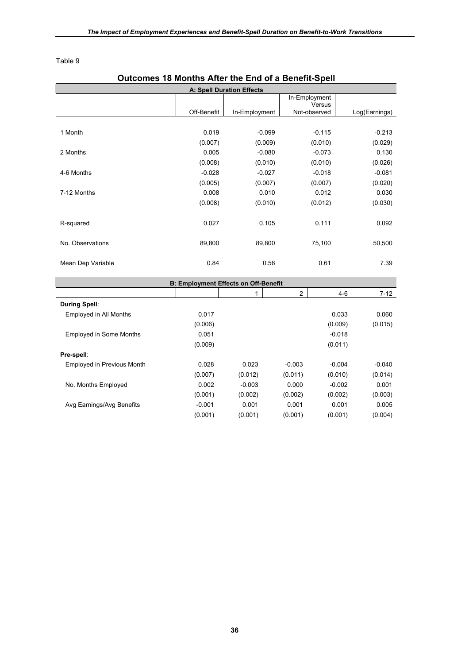# **Outcomes 18 Months After the End of a Benefit-Spell A: Spell Duration Effects**  Off-Benefit In-Employment In-Employment Versus<br>Not-observed Log(Earnings) 1 Month 1 2001 -0.099 -0.115 -0.213  $(0.007)$   $(0.009)$   $(0.010)$   $(0.029)$ 2 Months 0.005 -0.080 -0.073 0.130  $(0.008)$   $(0.010)$   $(0.010)$   $(0.010)$   $(0.026)$ 4-6 Months -0.028 -0.027 -0.027 -0.018 -0.081  $(0.005)$   $(0.007)$   $(0.007)$   $(0.007)$   $(0.020)$ 7-12 Months 0.008 0.010 0.012 0.030  $(0.008)$   $(0.010)$   $(0.012)$   $(0.030)$ R-squared **0.027** 0.105 0.111 0.092 No. Observations 69,800 89,800 89,800 75,100 50,500 Mean Dep Variable 2008 10.54 0.56 0.61 2.39 **B: Employment Effects on Off-Benefit**  1 2 4-6 7-12 **During Spell**: Employed in All Months 0.017 0.033 0.060  $(0.006)$   $(0.009)$   $(0.015)$ Employed in Some Months **0.051** 0.051 -0.018  $(0.009)$  (0.011) **Pre-spell**: Employed in Previous Month 0.028 0.023 -0.003 -0.004 -0.040  $(0.007)$   $(0.012)$   $(0.011)$   $(0.010)$   $(0.014)$ No. Months Employed 0.002 -0.003 0.000 -0.002 0.001  $(0.001)$   $(0.002)$   $(0.002)$   $(0.002)$   $(0.003)$ Avg Earnings/Avg Benefits  $-0.001$  0.001 0.001 0.001 0.005  $(0.001)$   $(0.001)$   $(0.001)$   $(0.001)$   $(0.001)$   $(0.004)$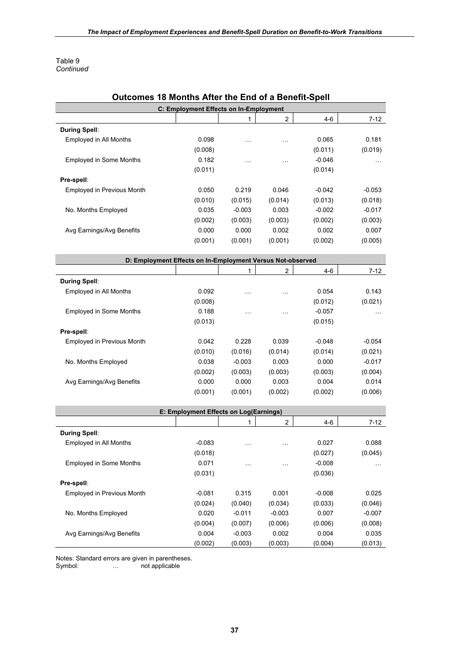Table 9 *Continued*

| Outcomes 18 Months After the End of a Benefit-Spell        |                                        |           |                |          |          |
|------------------------------------------------------------|----------------------------------------|-----------|----------------|----------|----------|
|                                                            | C: Employment Effects on In-Employment |           |                |          |          |
|                                                            |                                        | 1         | $\overline{2}$ | $4 - 6$  | $7 - 12$ |
| <b>During Spell:</b>                                       |                                        |           |                |          |          |
| Employed in All Months                                     | 0.098                                  | $\ddotsc$ | $\cdots$       | 0.065    | 0.181    |
|                                                            | (0.008)                                |           |                | (0.011)  | (0.019)  |
| <b>Employed in Some Months</b>                             | 0.182                                  | $\cdots$  | $\cdots$       | $-0.046$ | $\cdots$ |
|                                                            | (0.011)                                |           |                | (0.014)  |          |
| Pre-spell:                                                 |                                        |           |                |          |          |
| <b>Employed in Previous Month</b>                          | 0.050                                  | 0.219     | 0.046          | $-0.042$ | $-0.053$ |
|                                                            | (0.010)                                | (0.015)   | (0.014)        | (0.013)  | (0.018)  |
| No. Months Employed                                        | 0.035                                  | $-0.003$  | 0.003          | $-0.002$ | $-0.017$ |
|                                                            | (0.002)                                | (0.003)   | (0.003)        | (0.002)  | (0.003)  |
| Avg Earnings/Avg Benefits                                  | 0.000                                  | 0.000     | 0.002          | 0.002    | 0.007    |
|                                                            | (0.001)                                | (0.001)   | (0.001)        | (0.002)  | (0.005)  |
|                                                            |                                        |           |                |          |          |
| D: Employment Effects on In-Employment Versus Not-observed |                                        |           |                |          |          |
|                                                            |                                        | 1         | $\overline{2}$ | 4-6      | $7 - 12$ |
| <b>During Spell:</b>                                       |                                        |           |                |          |          |
| Employed in All Months                                     | 0.092                                  |           |                | 0.054    | 0.143    |
|                                                            |                                        | $\ddotsc$ | $\ddotsc$      | (0.012)  |          |
|                                                            | (0.008)                                |           |                |          | (0.021)  |
| <b>Employed in Some Months</b>                             | 0.188                                  | $\cdots$  | $\ddotsc$      | $-0.057$ | $\cdots$ |
|                                                            | (0.013)                                |           |                | (0.015)  |          |
| Pre-spell:                                                 |                                        |           |                |          |          |
| Employed in Previous Month                                 | 0.042                                  | 0.228     | 0.039          | $-0.048$ | $-0.054$ |
|                                                            | (0.010)                                | (0.016)   | (0.014)        | (0.014)  | (0.021)  |
| No. Months Employed                                        | 0.038                                  | $-0.003$  | 0.003          | 0.000    | $-0.017$ |
|                                                            | (0.002)                                | (0.003)   | (0.003)        | (0.003)  | (0.004)  |
| Avg Earnings/Avg Benefits                                  | 0.000                                  | 0.000     | 0.003          | 0.004    | 0.014    |
|                                                            | (0.001)                                | (0.001)   | (0.002)        | (0.002)  | (0.006)  |
|                                                            |                                        |           |                |          |          |
|                                                            | E: Employment Effects on Log(Earnings) |           |                |          |          |
|                                                            |                                        | 1         | $\overline{2}$ | $4 - 6$  | $7 - 12$ |
| <b>During Spell:</b>                                       |                                        |           |                |          |          |
| Employed in All Months                                     | $-0.083$                               | $\ddotsc$ | $\ddotsc$      | 0.027    | 0.088    |
|                                                            | (0.018)                                |           |                | (0.027)  | (0.045)  |
| <b>Employed in Some Months</b>                             | 0.071                                  |           |                | $-0.008$ |          |
|                                                            | (0.031)                                |           |                | (0.036)  |          |
| Pre-spell:                                                 |                                        |           |                |          |          |
| Employed in Previous Month                                 | $-0.081$                               | 0.315     | 0.001          | $-0.008$ | 0.025    |
|                                                            | (0.024)                                | (0.040)   | (0.034)        | (0.033)  | (0.046)  |
| No. Months Employed                                        | 0.020                                  | $-0.011$  | $-0.003$       | 0.007    | $-0.007$ |
|                                                            | (0.004)                                | (0.007)   | (0.006)        | (0.006)  | (0.008)  |
| Avg Earnings/Avg Benefits                                  | 0.004                                  | $-0.003$  | 0.002          | 0.004    | 0.035    |

#### **Outcomes 18 Months After the End of a Benefit-Spell**

Notes: Standard errors are given in parentheses.

Symbol: … not applicable

 $(0.002)$   $(0.003)$   $(0.003)$   $(0.004)$   $(0.013)$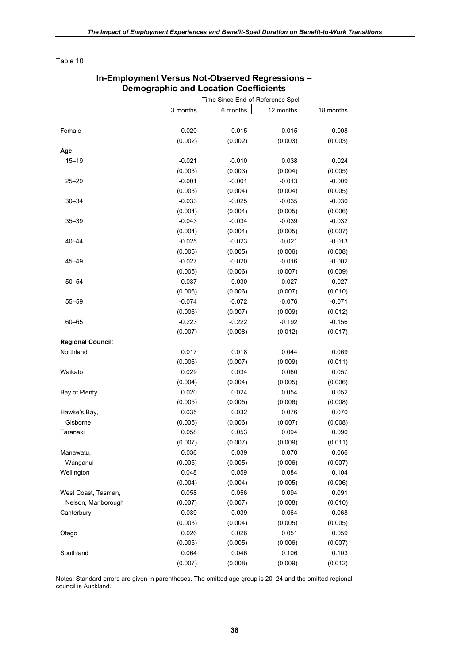|                          | Demographic and Location Coefficients |                                   |           |           |
|--------------------------|---------------------------------------|-----------------------------------|-----------|-----------|
|                          |                                       | Time Since End-of-Reference Spell |           |           |
|                          | 3 months                              | 6 months                          | 12 months | 18 months |
|                          |                                       |                                   |           |           |
| Female                   | $-0.020$                              | $-0.015$                          | $-0.015$  | $-0.008$  |
|                          | (0.002)                               | (0.002)                           | (0.003)   | (0.003)   |
| Age∶                     |                                       |                                   |           |           |
| $15 - 19$                | $-0.021$                              | $-0.010$                          | 0.038     | 0.024     |
|                          | (0.003)                               | (0.003)                           | (0.004)   | (0.005)   |
| $25 - 29$                | $-0.001$                              | $-0.001$                          | $-0.013$  | $-0.009$  |
|                          | (0.003)                               | (0.004)                           | (0.004)   | (0.005)   |
| $30 - 34$                | $-0.033$                              | $-0.025$                          | $-0.035$  | $-0.030$  |
|                          | (0.004)                               | (0.004)                           | (0.005)   | (0.006)   |
| $35 - 39$                | $-0.043$                              | $-0.034$                          | $-0.039$  | $-0.032$  |
|                          | (0.004)                               | (0.004)                           | (0.005)   | (0.007)   |
| $40 - 44$                | $-0.025$                              | $-0.023$                          | $-0.021$  | $-0.013$  |
|                          | (0.005)                               | (0.005)                           | (0.006)   | (0.008)   |
| 45-49                    | $-0.027$                              | $-0.020$                          | $-0.016$  | $-0.002$  |
|                          | (0.005)                               | (0.006)                           | (0.007)   | (0.009)   |
| $50 - 54$                | $-0.037$                              | $-0.030$                          | $-0.027$  | $-0.027$  |
|                          | (0.006)                               | (0.006)                           | (0.007)   | (0.010)   |
| $55 - 59$                | $-0.074$                              | $-0.072$                          | $-0.076$  | $-0.071$  |
|                          | (0.006)                               | (0.007)                           | (0.009)   | (0.012)   |
| $60 - 65$                | $-0.223$                              | $-0.222$                          | $-0.192$  | $-0.156$  |
|                          | (0.007)                               | (0.008)                           | (0.012)   | (0.017)   |
| <b>Regional Council:</b> |                                       |                                   |           |           |
| Northland                | 0.017                                 | 0.018                             | 0.044     | 0.069     |
|                          | (0.006)                               | (0.007)                           | (0.009)   | (0.011)   |
| Waikato                  | 0.029                                 | 0.034                             | 0.060     | 0.057     |
|                          | (0.004)                               | (0.004)                           | (0.005)   | (0.006)   |
| Bay of Plenty            | 0.020                                 | 0.024                             | 0.054     | 0.052     |
|                          | (0.005)                               | (0.005)                           | (0.006)   | (0.008)   |
| Hawke's Bay,             | 0.035                                 | 0.032                             | 0.076     | 0.070     |
| Gisborne                 | (0.005)                               | (0.006)                           | (0.007)   | (0.008)   |
| Taranaki                 | 0.058                                 | 0.053                             | 0.094     | 0.090     |
|                          | (0.007)                               | (0.007)                           | (0.009)   | (0.011)   |
| Manawatu,                | 0.036                                 | 0.039                             | 0.070     | 0.066     |
| Wanganui                 | (0.005)                               | (0.005)                           | (0.006)   | (0.007)   |
| Wellington               | 0.048                                 | 0.059                             | 0.084     | 0.104     |
|                          | (0.004)                               | (0.004)                           | (0.005)   | (0.006)   |
| West Coast, Tasman,      | 0.058                                 | 0.056                             | 0.094     | 0.091     |
| Nelson, Marlborough      | (0.007)                               | (0.007)                           | (0.008)   | (0.010)   |
| Canterbury               | 0.039                                 | 0.039                             | 0.064     | 0.068     |
|                          | (0.003)                               | (0.004)                           | (0.005)   | (0.005)   |
| Otago                    | 0.026                                 | 0.026                             | 0.051     | 0.059     |
|                          | (0.005)                               | (0.005)                           | (0.006)   | (0.007)   |
| Southland                | 0.064                                 | 0.046                             | 0.106     | 0.103     |
|                          | (0.007)                               | (0.008)                           | (0.009)   | (0.012)   |

### **In-Employment Versus Not-Observed Regressions – Demographic and Location Coefficients**

Notes: Standard errors are given in parentheses. The omitted age group is 20–24 and the omitted regional council is Auckland.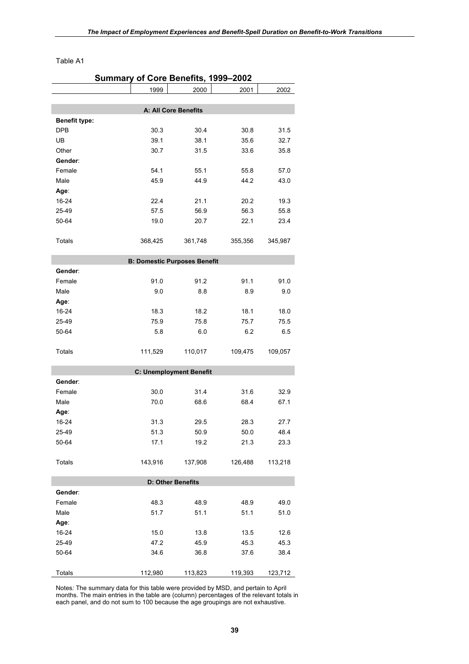Table A1

|                      | Summary of Core Benefits, 1999-2002 |                                     |         |         |
|----------------------|-------------------------------------|-------------------------------------|---------|---------|
|                      | 1999                                | 2000                                | 2001    | 2002    |
|                      |                                     |                                     |         |         |
|                      |                                     | A: All Core Benefits                |         |         |
| <b>Benefit type:</b> |                                     |                                     |         |         |
| <b>DPB</b>           | 30.3                                | 30.4                                | 30.8    | 31.5    |
| UB                   | 39.1                                | 38.1                                | 35.6    | 32.7    |
| Other                | 30.7                                | 31.5                                | 33.6    | 35.8    |
| Gender:              |                                     |                                     |         |         |
| Female               | 54.1                                | 55.1                                | 55.8    | 57.0    |
| Male                 | 45.9                                | 44.9                                | 44.2    | 43.0    |
| Age:                 |                                     |                                     |         |         |
| 16-24                | 22.4                                | 21.1                                | 20.2    | 19.3    |
| 25-49                | 57.5                                | 56.9                                | 56.3    | 55.8    |
| 50-64                | 19.0                                | 20.7                                | 22.1    | 23.4    |
|                      |                                     |                                     |         |         |
| Totals               | 368,425                             | 361,748                             | 355,356 | 345,987 |
|                      |                                     |                                     |         |         |
|                      |                                     | <b>B: Domestic Purposes Benefit</b> |         |         |
| Gender:              |                                     |                                     |         |         |
| Female               | 91.0                                | 91.2                                | 91.1    | 91.0    |
| Male                 | 9.0                                 | 8.8                                 | 8.9     | 9.0     |
| Age:                 |                                     |                                     |         |         |
| 16-24                | 18.3                                | 18.2                                | 18.1    | 18.0    |
| 25-49                | 75.9                                | 75.8                                | 75.7    | 75.5    |
| 50-64                | 5.8                                 | 6.0                                 | 6.2     | 6.5     |
|                      |                                     |                                     |         |         |
| Totals               | 111,529                             | 110,017                             | 109,475 | 109,057 |
|                      |                                     |                                     |         |         |
|                      |                                     | <b>C: Unemployment Benefit</b>      |         |         |
| Gender:              |                                     |                                     |         |         |
| Female               | 30.0                                | 31.4                                | 31.6    | 32.9    |
| Male                 | 70.0                                | 68.6                                | 68.4    | 67.1    |
| Age∶                 |                                     |                                     |         |         |
| 16-24                | 31.3                                | 29.5                                | 28.3    | 27.7    |
| 25-49                | 51.3                                | 50.9                                | 50.0    | 48.4    |
| 50-64                | 17.1                                | 19.2                                | 21.3    | 23.3    |
|                      |                                     |                                     |         |         |
| <b>Totals</b>        | 143,916                             | 137,908                             | 126,488 | 113,218 |
|                      |                                     |                                     |         |         |
|                      |                                     | <b>D: Other Benefits</b>            |         |         |
| Gender:              |                                     |                                     |         |         |
| Female               | 48.3                                | 48.9                                | 48.9    | 49.0    |
| Male                 | 51.7                                | 51.1                                | 51.1    | 51.0    |
| Age:                 |                                     |                                     |         |         |
| 16-24                | 15.0                                | 13.8                                | 13.5    | 12.6    |
| 25-49                | 47.2                                | 45.9                                | 45.3    | 45.3    |
| 50-64                | 34.6                                | 36.8                                | 37.6    | 38.4    |
|                      |                                     |                                     |         |         |
| Totals               | 112,980                             | 113,823                             | 119,393 | 123,712 |
|                      |                                     |                                     |         |         |

Notes*:* The summary data for this table were provided by MSD, and pertain to April months. The main entries in the table are (column) percentages of the relevant totals in each panel, and do not sum to 100 because the age groupings are not exhaustive.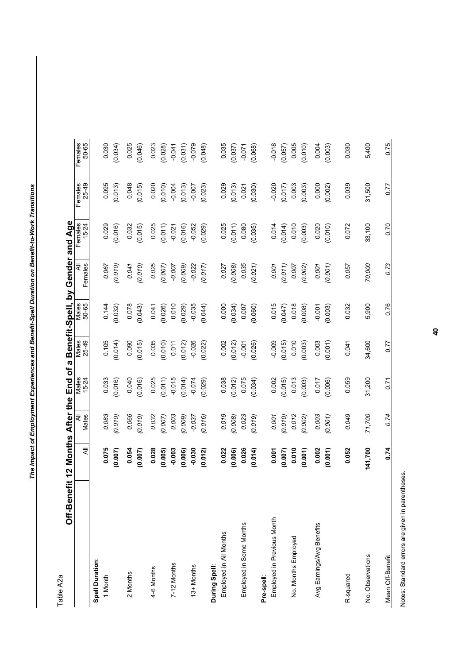Table A<sub>2</sub>a Table A2a

Off-Benefit 12 Months After the End of a Benefit-Spell, by Gender and Age **Off-Benefit 12 Months After the End of a Benefit-Spell, by Gender and Age** 

|                            | $\bar{\bar{\mathbf{x}}}$ | All<br>Males | Males<br>15-24 | Males<br>25-49 | Males<br>50-65 | All<br>Females | Females<br>15-24 | Females<br>25-49 | Females<br>50-65 |
|----------------------------|--------------------------|--------------|----------------|----------------|----------------|----------------|------------------|------------------|------------------|
| Spell Duration:            |                          |              |                |                |                |                |                  |                  |                  |
| 1 Month                    | 0.075                    | 0.083        | 0.033          | 0.105          | 0.144          | 0.067          | 0.029            | 0.095            | 0.030            |
|                            | (0.007)                  | (0.010)      | (0.016)        | (0.014)        | (0.032)        | (0.010)        | (0.016)          | (0.013)          | (0.034)          |
| 2 Months                   | 0.054                    | 0.066        | 0.040          | 0.090          | 0.078          | 0.041          | 0.032            | 0.048            | 0.025            |
|                            | (0.007)                  | (0.010)      | (0.016)        | (0.015)        | (0.043)        | (0.010)        | (0.015)          | (0.015)          | (0.046)          |
| 4-6 Months                 | 0.028                    | 0.032        | 0.025          | 0.035          | 0.041          | 0.025          | 0.025            | 0.020            | 0.023            |
|                            | (0.005)                  | (0.007)      | (0.011)        | (0.010)        | (0.026)        | (0.007)        | (0.011)          | (0.010)          | (0.028)          |
| 7-12 Months                | $-0.003$                 | 0.003        | $-0.015$       | 0.011          | 0.010          | $-0.007$       | $-0.021$         | $-0.004$         | $-0.041$         |
|                            | (0.006)                  | (0.009)      | (0.014)        | (0.012)        | (0.029)        | (0.009)        | (0.016)          | (0.013)          | (0.031)          |
| 13+ Months                 | $-0.030$                 | $-0.037$     | $-0.074$       | $-0.026$       | $-0.035$       | $-0.022$       | $-0.052$         | $-0.007$         | $-0.079$         |
|                            | (0.012)                  | (0.016)      | (0.029)        | (0.022)        | (0.044)        | (0.017)        | (0.029)          | (0.023)          | (0.048)          |
| During Spell:              |                          |              |                |                |                |                |                  |                  |                  |
| Employed in All Months     | 0.022                    | 0.019        | 0.038          | 0.002          | 0.000          | 0.027          | 0.025            | 0.029            | 0.035            |
|                            | (0.006)                  | (0.008)      | (0.012)        | (0.012)        | (0.034)        | (0.008)        | (0.011)          | (0.013)          | (0.037)          |
| Employed in Some Months    | 0.026                    | 0.023        | 0.075          | $-0.001$       | 0.007          | 0.035          | 0.080            | 0.021            | $-0.071$         |
|                            | (0.014)                  | (0.019)      | (0.034)        | (0.026)        | (0.060)        | (0.021)        | (0.035)          | (0.030)          | (0.068)          |
| Pre-spell:                 |                          |              |                |                |                |                |                  |                  |                  |
| Employed in Previous Month | 0.001                    | 0.001        | 0.002          | $-0.009$       | 0.015          | 0.001          | 0.014            | $-0.020$         | $-0.018$         |
|                            | (0.007)                  | (0.010)      | (0.015)        | (0.015)        | (0.047)        | (0.011)        | (0.014)          | (0.017)          | (0.057)          |
| No. Months Employed        | 0.010                    | 0.012        | 0.013          | 0.010          | 0.018          | 0.007          | 0.010            | 0.003            | 0.005            |
|                            | (0.001)                  | (0.002)      | (0.003)        | (0.003)        | (0.008)        | (0.002)        | (0.003)          | (0.003)          | (0.010)          |
| Avg Earnings/Avg Benefits  | 0.002                    | 0.003        | 0.017          | 0.003          | $-0.001$       | 0.001          | 0.020            | 0.000            | 0.004            |
|                            | (0.001)                  | (0.001)      | (0.006)        | (0.001)        | (0.003)        | (0.001)        | (0.010)          | (0.002)          | (0.003)          |
|                            |                          |              |                |                |                |                |                  |                  |                  |
| R-squared                  | 0.052                    | 0.049        | 0.059          | 0.041          | 0.032          | 0.057          | 0.072            | 0.039            | 0.030            |
| No. Observations           | 141,700                  | 71,700       | 31,200         | 34,600         | 5,900          | 70,000         | 33,100           | 31,500           | 5,400            |
| Mean Off-Benefit           | 0.74                     | 0.74         | 0.71           | 0.77           | 0.76           | 0.73           | 0.70             | 0.77             | 0.75             |
|                            |                          |              |                |                |                |                |                  |                  |                  |

Notes: Standard errors are given in parentheses. Notes: Standard errors are given in parentheses.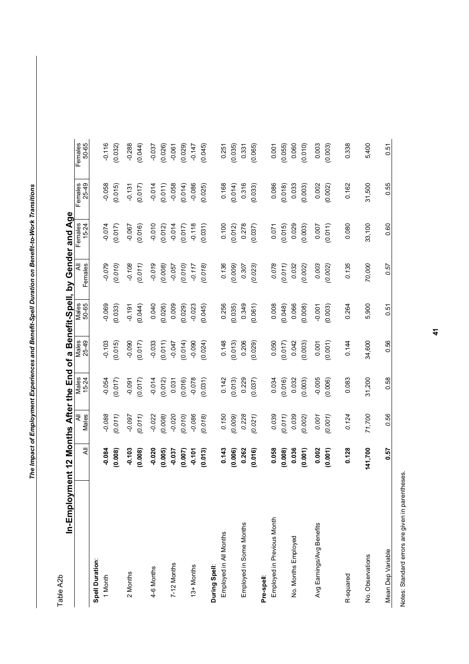Table A2b Table A2b

|                                                                                      | ic<br>Color                    |
|--------------------------------------------------------------------------------------|--------------------------------|
| Š<br>.<br>באת אם היים                                                                | $\frac{1}{2}$<br>$\frac{1}{2}$ |
| $\frac{1}{2}$                                                                        | $\frac{1}{2}$                  |
| i<br>$\blacksquare$                                                                  | å                              |
| ・1 でもの 12<br>İ,                                                                      | ەم<br>مە                       |
| . the End of $\overline{\phantom{a}}$<br>֖֖֖֖֧֖֧֖֚֚֚֚֚֚֚֚֚֚֚֚֚֚֚֚֚֚֚֚֚֚֚֚֚֚֚֚֡֬֝֝֓֝֓ | $\overline{\mathbf{r}}$<br>j   |
| .<br>.<br>$\vdots$                                                                   |                                |
| $\frac{1}{2}$                                                                        |                                |
| $\vdots$<br>I                                                                        |                                |
|                                                                                      |                                |

|                            | $\bar{\bar{\kappa}}$ | All<br>Males | Males<br>15-24 | Males<br>25-49 | Males<br>50-65 | ₹<br>Females | Females<br>15-24 | Females<br>25-49 | Females<br>50-65 |
|----------------------------|----------------------|--------------|----------------|----------------|----------------|--------------|------------------|------------------|------------------|
| <b>Spell Duration:</b>     |                      |              |                |                |                |              |                  |                  |                  |
| 1 Month                    | $-0.084$             | 0.088        | $-0.054$       | $-0.103$       | $-0.069$       | $-0.079$     | $-0.074$         | $-0.058$         | $-0.116$         |
|                            | (0.008)              | (0.011)      | (0.017)        | (0.015)        | (0.033)        | (0.010)      | (0.017)          | (0.015)          | (0.032)          |
| 2 Months                   | $-0.103$             | $-0.097$     | $-0.091$       | $-0.090$       | $-0.191$       | $-0.108$     | $-0.067$         | $-0.131$         | $-0.288$         |
|                            | (0.008)              | (0.011)      | (0.017)        | (0.017)        | (0.044)        | (0.011)      | (0.016)          | (0.017)          | (0.044)          |
| 4-6 Months                 | $-0.020$             | $-0.022$     | $-0.014$       | $-0.033$       | 0.040          | $-0.019$     | $-0.010$         | $-0.014$         | $-0.037$         |
|                            | (0.005)              | (0.008)      | (0.012)        | (0.011)        | (0.026)        | (0.008)      | (0.012)          | (0.011)          | (0.026)          |
| 7-12 Months                | $-0.037$             | $-0.020$     | 0.031          | $-0.047$       | 0.009          | $-0.057$     | $-0.014$         | $-0.058$         | $-0.061$         |
|                            | (0.007)              | (0.010)      | (0.016)        | (0.014)        | (0.029)        | (0.010)      | (0.017)          | (0.014)          | (0.029)          |
| 13+ Months                 | $-0.101$             | $-0.086$     | $-0.078$       | $-0.090$       | $-0.023$       | $-0.117$     | $-0.118$         | $-0.086$         | $-0.147$         |
|                            | (0.013)              | (0.018)      | (0.031)        | (0.024)        | (0.045)        | (0.018)      | (0.031)          | (0.025)          | (0.045)          |
| During Spell:              |                      |              |                |                |                |              |                  |                  |                  |
| Employed in All Months     | 0.143                | 0.150        | 0.142          | 0.148          | 0.256          | 0.136        | 0.100            | 0.168            | 0.251            |
|                            | (0.006)              | (0.009)      | (0.013)        | (0.013)        | (0.035)        | (0.009)      | (0.012)          | (0.014)          | (0.035)          |
| Employed in Some Months    | 0.262                | 0.228        | 0.229          | 0.206          | 0.349          | 0.307        | 0.278            | 0.316            | 0.331            |
|                            | (0.016)              | (0.021)      | (0.037)        | (0.029)        | (0.061)        | (0.023)      | (0.037)          | (0.033)          | (0.065)          |
| Pre-spell:                 |                      |              |                |                |                |              |                  |                  |                  |
| Employed in Previous Month | 0.058                | 0.039        | 0.034          | 0.050          | 0.008          | 0.078        | 0.071            | 0.086            | 0.001            |
|                            | (0.008)              | (0.011)      | (0.016)        | (0.017)        | (0.048)        | (0.011)      | (0.015)          | (0.018)          | (0.055)          |
| No. Months Employed        | 0.036                | 0.039        | 0.032          | 0.042          | 0.066          | 0.032        | 0.029            | 0.033            | 0.060            |
|                            | (0.001)              | (0.002)      | (0.003)        | (0.003)        | (0.008)        | (0.002)      | (0.003)          | (0.003)          | (0.010)          |
| Avg Earnings/Avg Benefits  | 0.002                | 0.001        | $-0.005$       | 0.001          | $-0.001$       | 0.003        | 0.007            | 0.002            | 0.003            |
|                            | (0.001)              | (0.001)      | (0.006)        | (0.001)        | (0.003)        | (0.002)      | (0.011)          | (0.002)          | (0.003)          |
|                            |                      |              |                |                |                |              |                  |                  |                  |
| R-squared                  | 0.128                | 0.124        | 0.083          | 0.144          | 0.264          | 0.135        | 0.080            | 0.162            | 0.338            |
| No. Observations           | 141,700              | 71,700       | 31,200         | 34,600         | 5,900          | 70,000       | 33,100           | 31,500           | 5,400            |
| Mean Dep Variable          | 0.57                 | 0.56         | 0.58           | 0.56           | 0.51           | 0.57         | 0.60             | 0.55             | 0.51             |
|                            |                      |              |                |                |                |              |                  |                  |                  |

Notes: Standard errors are given in parentheses. Notes: Standard errors are given in parentheses.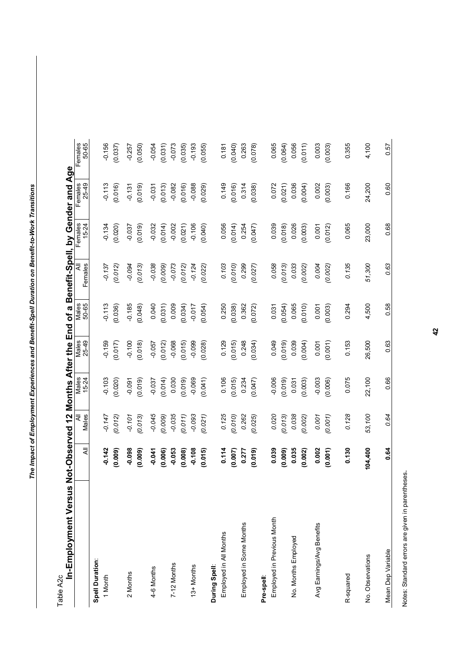Table A2c

| In-Employment Versus Not-Observed 12 Months After the End of a Benefit-Spell, by Gender and Age |          |            |                |                |                |              |                      |                  |                  |
|-------------------------------------------------------------------------------------------------|----------|------------|----------------|----------------|----------------|--------------|----------------------|------------------|------------------|
|                                                                                                 | ₹        | Males<br>₹ | Nales<br>15-24 | Males<br>25-49 | Males<br>50-65 | Females<br>₹ | Females<br>$15 - 24$ | 25-49<br>Females | Females<br>50-65 |
|                                                                                                 |          |            |                |                |                |              |                      |                  |                  |
| <b>Spell Duration:</b>                                                                          |          |            |                |                |                |              |                      |                  |                  |
| 1 Month                                                                                         | $-0.142$ | $-0.147$   | $-0.103$       | $-0.159$       | $-0.113$       | $-0.137$     | $-0.134$             | $-0.113$         | $-0.156$         |
|                                                                                                 | (0.009)  | (0.012)    | (0.020)        | (0.017)        | (0.036)        | (0.012)      | (0.020)              | (0.016)          | (0.037)          |
| 2 Months                                                                                        | $-0.098$ | $-0.101$   | $-0.091$       | $-0.100$       | $-0.185$       | $-0.094$     | $-0.037$             | $-0.131$         | $-0.257$         |
|                                                                                                 | (0.009)  | (0.013)    | (0.019)        | (0.018)        | (0.048)        | (0.013)      | (0.019)              | (0.019)          | (0.050)          |
| 4-6 Months                                                                                      | $-0.041$ | $-0.045$   | $-0.037$       | $-0.057$       | 0.040          | $-0.038$     | $-0.032$             | $-0.031$         | $-0.054$         |
|                                                                                                 | (0.006)  | (0.009)    | (0.014)        | (0.012)        | (0.031)        | (0.009)      | (0.014)              | (0.013)          | (0.031)          |
| 7-12 Months                                                                                     | $-0.053$ | $-0.035$   | 0.030          | $-0.068$       | 0.009          | $-0.073$     | $-0.002$             | $-0.082$         | $-0.073$         |
|                                                                                                 | (0.008)  | (0.011)    | (0.019)        | (0.015)        | (0.034)        | (0.012)      | (0.021)              | (0.016)          | (0.035)          |
| 13+ Months                                                                                      | $-0.108$ | $-0.093$   | $-0.069$       | $-0.099$       | $-0.017$       | $-0.124$     | $-0.106$             | $-0.088$         | $-0.193$         |
|                                                                                                 | (0.015)  | (0.021)    | (0.041)        | (0.028)        | (0.054)        | (0.022)      | (0.040)              | (0.029)          | (0.055)          |
| During Spell:                                                                                   |          |            |                |                |                |              |                      |                  |                  |
| Employed in All Months                                                                          | 0.114    | 0.125      | 0.106          | 0.129          | 0.250          | 0.103        | 0.056                | 0.149            | 0.181            |
|                                                                                                 | (0.007)  | (0.010)    | (0.015)        | (0.015)        | (0.038)        | (0.010)      | (0.014)              | (0.016)          | (0.040)          |
| Employed in Some Months                                                                         | 0.277    | 0.262      | 0.234          | 0.248          | 0.362          | 0.299        | 0.254                | 0.314            | 0.263            |
|                                                                                                 | (0.019)  | (0.025)    | (0.047)        | (0.034)        | (0.072)        | (0.027)      | (0.047)              | (0.038)          | (0.078)          |
| Pre-spell                                                                                       |          |            |                |                |                |              |                      |                  |                  |
| Employed in Previous Month                                                                      | 0.039    | 0.020      | $-0.006$       | 0.049          | 0.031          | 0.058        | 0.039                | 0.072            | 0.065            |
|                                                                                                 | (0.009)  | (0.013)    | (0.019)        | (0.019)        | (0.054)        | (0.013)      | (0.018)              | (0.021)          | (0.064)          |
| No. Months Employed                                                                             | 0.035    | 0.038      | 0.031          | 0.039          | 0.065          | 0.033        | 0.026                | 0.036            | 0.056            |
|                                                                                                 | (0.002)  | (0.002)    | (0.003)        | (0.004)        | (0.010)        | (0.002)      | (0.003)              | (0.004)          | (0.011)          |
| Avg Earnings/Avg Benefits                                                                       | 0.002    | 0.001      | $-0.003$       | 0.001          | 0.001          | 0.004        | 0.001                | 0.002            | 0.003            |
|                                                                                                 | (0.001)  | (0.001)    | (0.006)        | (0.001)        | (0.003)        | (0.002)      | (0.012)              | (0.003)          | (0.003)          |
|                                                                                                 |          |            |                |                |                |              |                      |                  |                  |
| R-squared                                                                                       | 0.130    | 0.128      | 0.075          | 0.153          | 0.294          | 0.135        | 0.065                | 0.166            | 0.355            |
| No. Observations                                                                                | 104,400  | 53,100     | 22,100         | 26,500         | 4,500          | 51,300       | 23,000               | 24,200           | 4,100            |
| Mean Dep Variable                                                                               | 0.64     | 0.64       | 0.66           | 0.63           | 0.58           | 0.63         | 0.68                 | 0.60             | 0.57             |

Notes: Standard errors are given in parentheses. Notes: Standard errors are given in parentheses.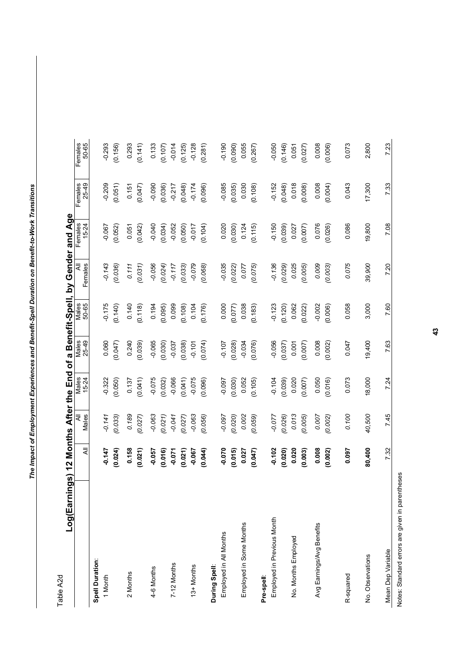Table A2d Table A2d

Log(Earnings) 12 Months After the End of a Benefit-Spell, by Gender and Age **Log(Earnings) 12 Months After the End of a Benefit-Spell, by Gender and Age** 

|                            | $\bar{z}$ | All<br>Males | Males<br>15-24 | Males<br>25-49 | Males<br>50-65 | $\overline{a}$<br>Females | Females<br>15-24 | Females<br>25-49 | Females<br>50-65 |
|----------------------------|-----------|--------------|----------------|----------------|----------------|---------------------------|------------------|------------------|------------------|
| Spell Duration:            |           |              |                |                |                |                           |                  |                  |                  |
| 1 Month                    | $-0.147$  | $-0.141$     | $-0.322$       | 0.060          | $-0.175$       | $-0.143$                  | $-0.067$         | $-0.209$         | $-0.293$         |
|                            | (0.024)   | (0.033)      | (0.050)        | (0.047)        | (0.140)        | (0.036)                   | (0.052)          | (0.051)          | (0.156)          |
| 2 Months                   | 0.158     | 0.189        | 0.137          | 0.240          | 0.140          | 0.111                     | 0.051            | 0.151            | 0.293            |
|                            | (0.021)   | (0.027)      | (0.041)        | (0.039)        | (0.118)        | (0.031)                   | (0.042)          | (0.047)          | (0.141)          |
| 4-6 Months                 | $-0.057$  | $-0.063$     | $-0.075$       | $-0.065$       | 0.194          | $-0.056$                  | $-0.040$         | $-0.090$         | 0.133            |
|                            | (0.016)   | (0.021)      | (0.032)        | (0.030)        | (0.095)        | (0.024)                   | (0.034)          | (0.036)          | (0.107)          |
| 7-12 Months                | $-0.071$  | $-0.041$     | $-0.066$       | $-0.037$       | 0.099          | $-0.117$                  | $-0.052$         | $-0.217$         | $-0.014$         |
|                            | (0.021)   | (0.027)      | (0.041)        | (0.038)        | (0.108)        | (0.033)                   | (0.050)          | (0.048)          | (0.125)          |
| 13+ Months                 | $-0.067$  | $-0.063$     | $-0.075$       | $-0.101$       | 0.104          | $-0.079$                  | $-0.017$         | $-0.174$         | $-0.128$         |
|                            | (0.044)   | (0.056)      | (0.096)        | (0.074)        | (0.176)        | (0.068)                   | (0.104)          | (0.096)          | (0.281)          |
| During Spell:              |           |              |                |                |                |                           |                  |                  |                  |
| Employed in All Months     | $-0.070$  | -0.097       | $-0.097$       | $-0.107$       | 0.000          | $-0.035$                  | 0.020            | $-0.085$         | $-0.190$         |
|                            | (0.015)   | (0.020)      | (0.030)        | (0.028)        | (0.077)        | (0.022)                   | (0.030)          | (0.035)          | (0.090)          |
| Employed in Some Months    | 0.027     | 0.002        | 0.052          | $-0.034$       | 0.038          | 0.077                     | 0.124            | 0.030            | 0.055            |
|                            | (0.047)   | (0.059)      | (0.105)        | (0.076)        | (0.183)        | (0.075)                   | (0.115)          | (0.108)          | (0.267)          |
| Pre-spell:                 |           |              |                |                |                |                           |                  |                  |                  |
| Employed in Previous Month | $-0.102$  | $-0.077$     | $-0.104$       | $-0.056$       | $-0.123$       | $-0.136$                  | $-0.150$         | $-0.152$         | $-0.050$         |
|                            | (0.020)   | (0.026)      | (0.039)        | (0.037)        | (0.120)        | (0.029)                   | (0.039)          | (0.048)          | (0.146)          |
| No. Months Employed        | 0.020     | 0.013        | 0.020          | 0.001          | 0.062          | 0.025                     | 0.027            | 0.018            | 0.051            |
|                            | (0.003)   | (0.005)      | (0.007)        | (0.007)        | (0.022)        | (0.005)                   | (0.007)          | (0.008)          | (0.027)          |
| Avg Earnings/Avg Benefits  | 0.008     | 0.007        | 0.050          | 0.008          | $-0.002$       | 0.009                     | 0.076            | 0.008            | 0.008            |
|                            | (0.002)   | (0.002)      | (0.016)        | (0.002)        | (0.006)        | (0.003)                   | (0.026)          | (0.004)          | (0.006)          |
|                            |           |              |                |                |                |                           |                  |                  |                  |
| R-squared                  | 0.097     | 0.100        | 0.073          | 0.047          | 0.058          | 0.075                     | 0.086            | 0.043            | 0.073            |
| No. Observations           | 80,400    | 40,500       | 18,000         | 19,400         | 3,000          | 39,900                    | 19,800           | 17,300           | 2,800            |
| Mean Dep Variable          | 7.32      | 7.45         | 7.24           | 7.63           | 7.60           | 7.20                      | 7.08             | 7.33             | 7.23             |
|                            |           |              |                |                |                |                           |                  |                  |                  |

Notes: Standard errors are given in parentheses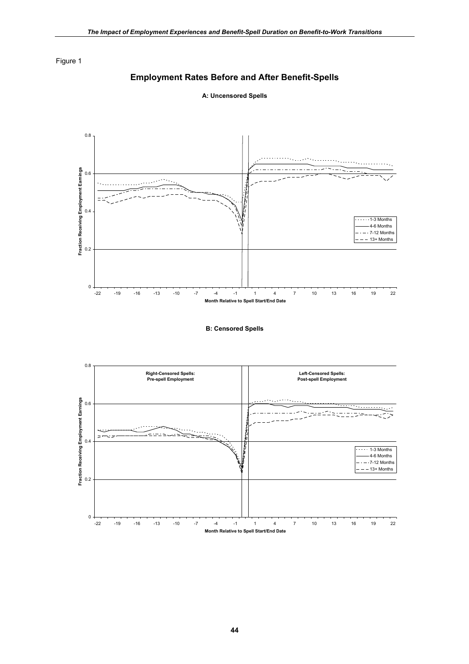# **Employment Rates Before and After Benefit-Spells**



**A: Uncensored Spells** 

**B: Censored Spells** 

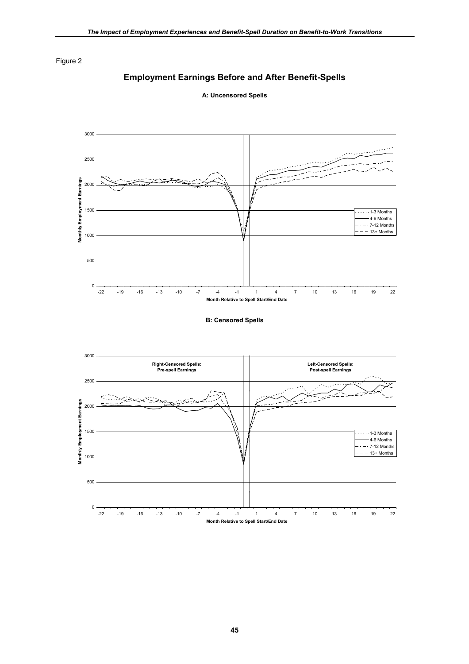# **Employment Earnings Before and After Benefit-Spells**



**A: Uncensored Spells** 

**B: Censored Spells** 

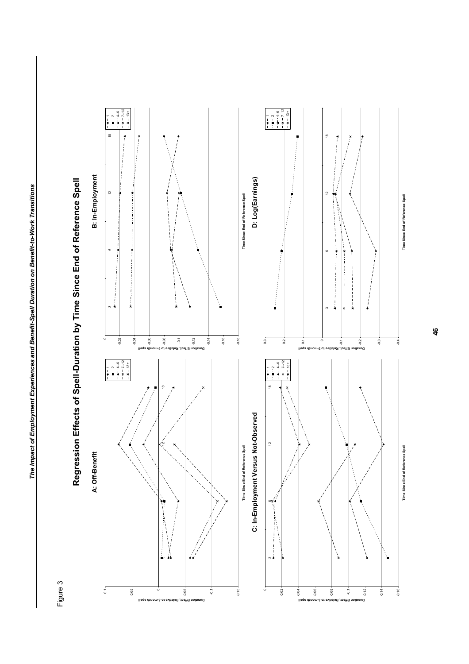

**Duration Effect, Relative to 3-month spell**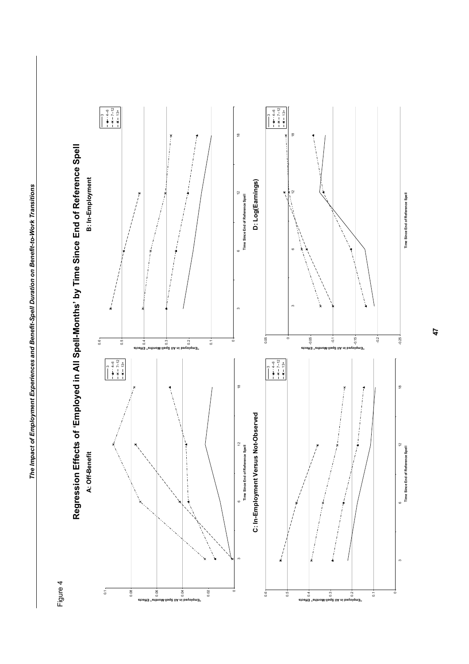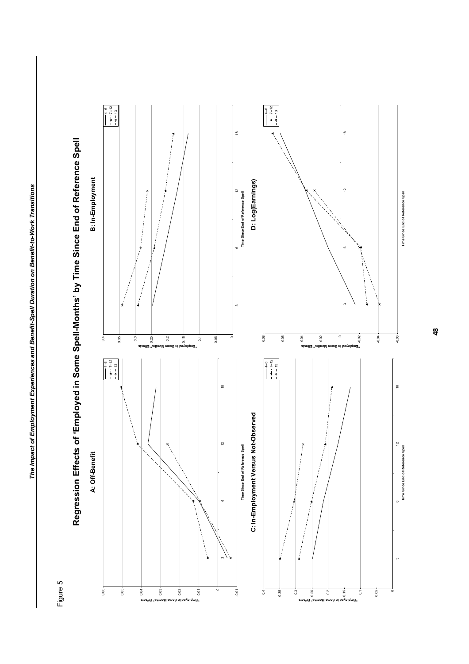

**Regression Effects of 'Employed in Some Spell-Months' by Time Since End of Reference Spell**  Regression Effects of 'Employed in Some Spell-Months' by Time Since End of Reference Spell

**Time Since End of Reference Spell**

**Time Since End of Reference Spell**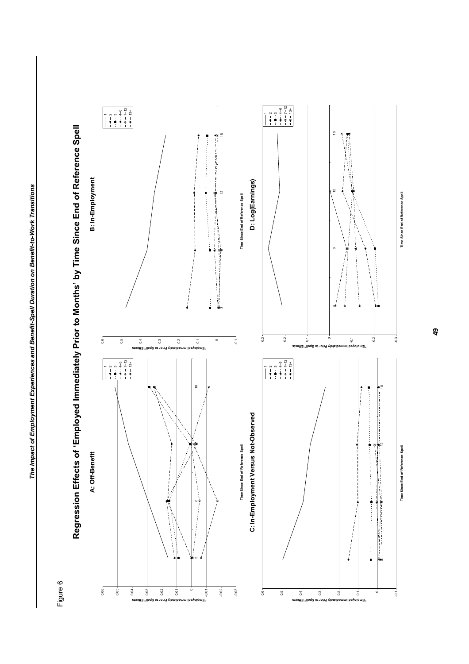

Regression Effects of 'Employed Immediately Prior to Months' by Time Since End of Reference Spell **Regression Effects of 'Employed Immediately Prior to Months' by Time Since End of Reference Spell** 

**Time Since End of Reference Spell**

**Time Since End of Reference Spell**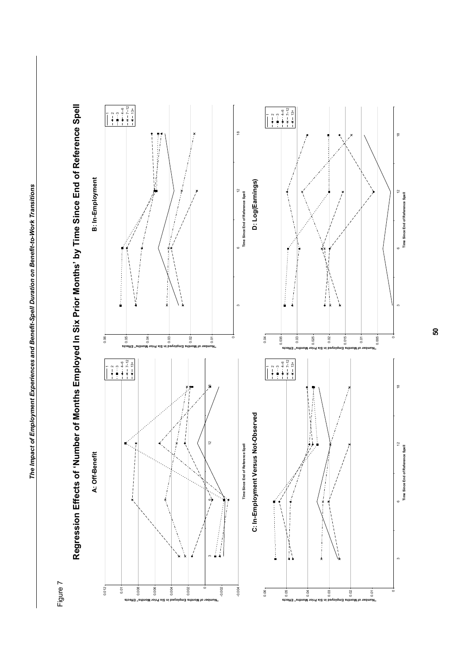**Six Prior** 



or Months" Effects

**Regression Effects of 'Number of Months Employed In Six Prior Months' by Time Since End of Reference Spell**  Regression Effects of 'Number of Months Employed In Six Prior Months' by Time Since End of Reference Spell

**Time Since End of Reference Spell**

**Time Since End of Reference Spell**